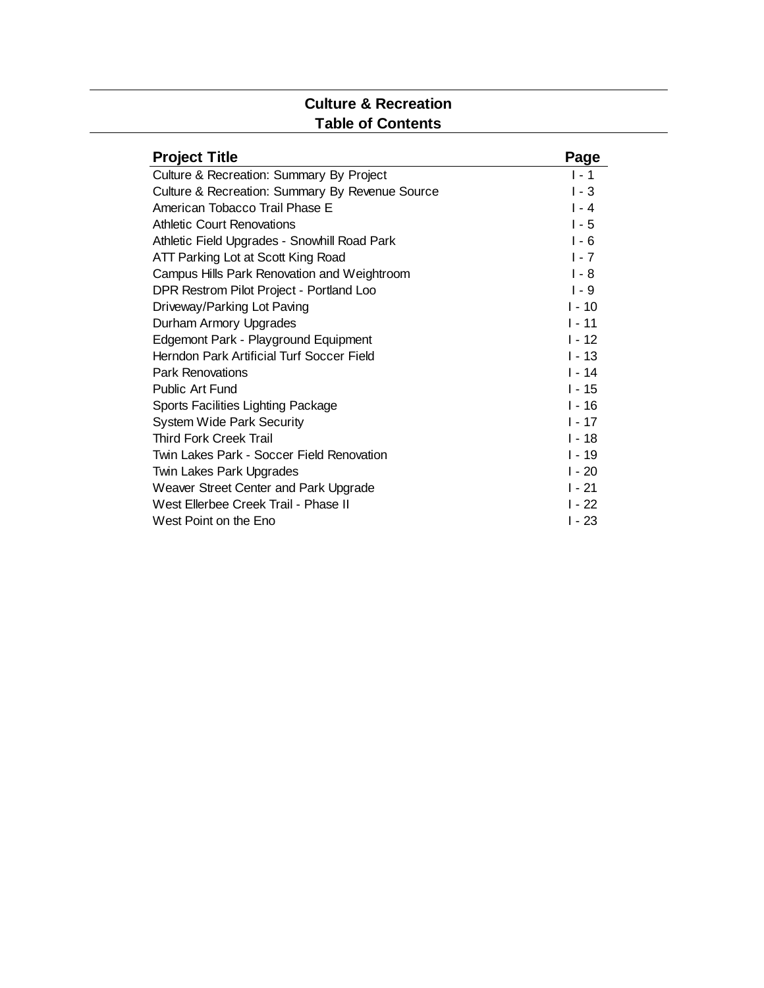#### **Culture & Recreation Table of Contents**

| <b>Project Title</b>                            | Page     |
|-------------------------------------------------|----------|
| Culture & Recreation: Summary By Project        | $1 - 1$  |
| Culture & Recreation: Summary By Revenue Source | $1 - 3$  |
| American Tobacco Trail Phase E                  | $I - 4$  |
| <b>Athletic Court Renovations</b>               | $1 - 5$  |
| Athletic Field Upgrades - Snowhill Road Park    | $1 - 6$  |
| ATT Parking Lot at Scott King Road              | $1 - 7$  |
| Campus Hills Park Renovation and Weightroom     | $1 - 8$  |
| DPR Restrom Pilot Project - Portland Loo        | $1 - 9$  |
| Driveway/Parking Lot Paving                     | $1 - 10$ |
| Durham Armory Upgrades                          | $1 - 11$ |
| Edgemont Park - Playground Equipment            | $1 - 12$ |
| Herndon Park Artificial Turf Soccer Field       | $1 - 13$ |
| <b>Park Renovations</b>                         | $1 - 14$ |
| Public Art Fund                                 | $1 - 15$ |
| Sports Facilities Lighting Package              | $1 - 16$ |
| <b>System Wide Park Security</b>                | $1 - 17$ |
| <b>Third Fork Creek Trail</b>                   | $1 - 18$ |
| Twin Lakes Park - Soccer Field Renovation       | $1 - 19$ |
| Twin Lakes Park Upgrades                        | $1 - 20$ |
| Weaver Street Center and Park Upgrade           | $1 - 21$ |
| West Ellerbee Creek Trail - Phase II            | $1 - 22$ |
| West Point on the Eno                           | I - 23   |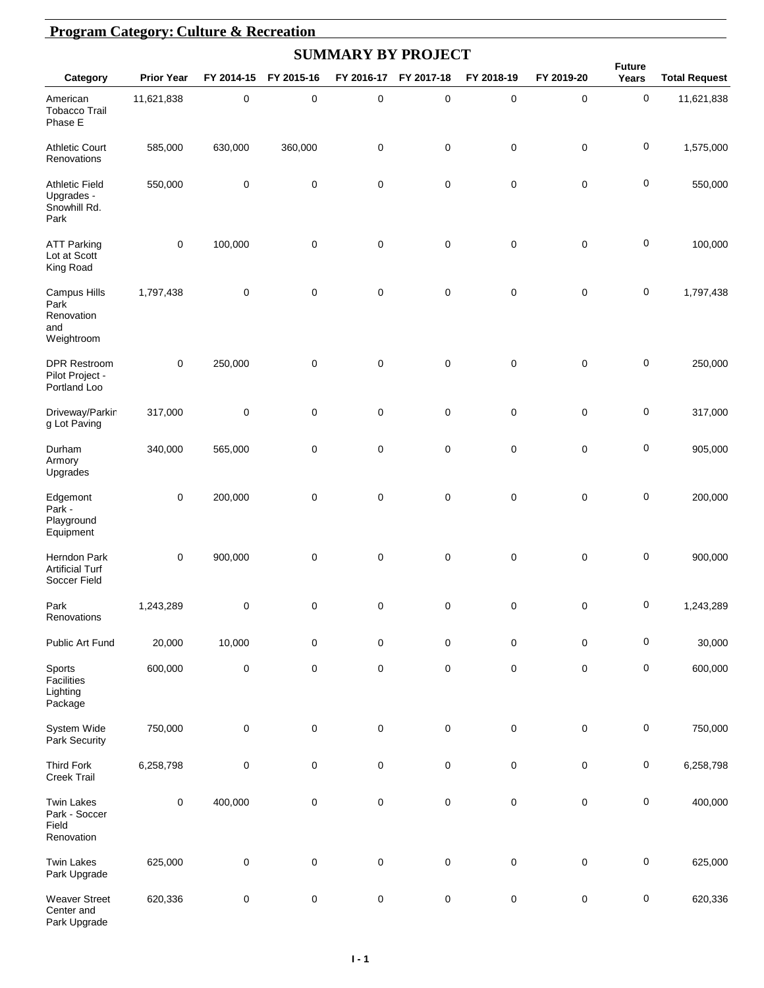|                                                                | <b>Program Category: Culture &amp; Recreation</b> |            |             |                           |             |             |             |                        |                      |  |  |  |  |
|----------------------------------------------------------------|---------------------------------------------------|------------|-------------|---------------------------|-------------|-------------|-------------|------------------------|----------------------|--|--|--|--|
|                                                                |                                                   |            |             | <b>SUMMARY BY PROJECT</b> |             |             |             |                        |                      |  |  |  |  |
| Category                                                       | <b>Prior Year</b>                                 | FY 2014-15 | FY 2015-16  | FY 2016-17                | FY 2017-18  | FY 2018-19  | FY 2019-20  | <b>Future</b><br>Years | <b>Total Request</b> |  |  |  |  |
| American<br><b>Tobacco Trail</b><br>Phase E                    | 11,621,838                                        | $\pmb{0}$  | $\pmb{0}$   | $\pmb{0}$                 | $\pmb{0}$   | 0           | $\mathbf 0$ | $\pmb{0}$              | 11,621,838           |  |  |  |  |
| <b>Athletic Court</b><br>Renovations                           | 585,000                                           | 630,000    | 360,000     | $\mathbf 0$               | $\mathbf 0$ | $\mathbf 0$ | $\pmb{0}$   | $\pmb{0}$              | 1,575,000            |  |  |  |  |
| <b>Athletic Field</b><br>Upgrades -<br>Snowhill Rd.<br>Park    | 550,000                                           | 0          | $\mathbf 0$ | $\pmb{0}$                 | $\mathbf 0$ | 0           | $\mathbf 0$ | $\pmb{0}$              | 550,000              |  |  |  |  |
| <b>ATT Parking</b><br>Lot at Scott<br>King Road                | 0                                                 | 100,000    | $\mathbf 0$ | $\mathbf 0$               | $\mathbf 0$ | 0           | $\mathbf 0$ | $\pmb{0}$              | 100,000              |  |  |  |  |
| <b>Campus Hills</b><br>Park<br>Renovation<br>and<br>Weightroom | 1,797,438                                         | 0          | $\mathbf 0$ | 0                         | $\mathbf 0$ | 0           | $\mathbf 0$ | $\pmb{0}$              | 1,797,438            |  |  |  |  |
| <b>DPR Restroom</b><br>Pilot Project -<br>Portland Loo         | 0                                                 | 250,000    | $\mathbf 0$ | $\mathbf 0$               | $\mathbf 0$ | 0           | $\mathbf 0$ | $\pmb{0}$              | 250,000              |  |  |  |  |
| Driveway/Parkin<br>g Lot Paving                                | 317,000                                           | 0          | $\mathbf 0$ | $\pmb{0}$                 | $\mathbf 0$ | 0           | $\mathbf 0$ | $\pmb{0}$              | 317,000              |  |  |  |  |
| Durham<br>Armory<br>Upgrades                                   | 340,000                                           | 565,000    | $\mathbf 0$ | 0                         | $\mathbf 0$ | 0           | $\mathbf 0$ | $\pmb{0}$              | 905,000              |  |  |  |  |
| Edgemont<br>Park -<br>Playground<br>Equipment                  | 0                                                 | 200,000    | $\mathbf 0$ | $\pmb{0}$                 | $\mathbf 0$ | 0           | $\mathbf 0$ | $\pmb{0}$              | 200,000              |  |  |  |  |
| Herndon Park<br><b>Artificial Turf</b><br>Soccer Field         | 0                                                 | 900,000    | $\mathbf 0$ | 0                         | $\mathbf 0$ | 0           | $\mathbf 0$ | $\pmb{0}$              | 900,000              |  |  |  |  |
| Park<br>Renovations                                            | 1,243,289                                         | 0          | $\mathbf 0$ | $\pmb{0}$                 | $\pmb{0}$   | $\mathbf 0$ | $\pmb{0}$   | $\pmb{0}$              | 1,243,289            |  |  |  |  |
| Public Art Fund                                                | 20,000                                            | 10,000     | $\mathbf 0$ | $\pmb{0}$                 | 0           | 0           | $\pmb{0}$   | $\pmb{0}$              | 30,000               |  |  |  |  |
| Sports<br>Facilities<br>Lighting<br>Package                    | 600,000                                           | 0          | $\mathbf 0$ | $\pmb{0}$                 | 0           | 0           | $\pmb{0}$   | $\pmb{0}$              | 600,000              |  |  |  |  |
| System Wide<br>Park Security                                   | 750,000                                           | 0          | $\pmb{0}$   | $\pmb{0}$                 | 0           | 0           | $\pmb{0}$   | $\pmb{0}$              | 750,000              |  |  |  |  |
| <b>Third Fork</b><br>Creek Trail                               | 6,258,798                                         | 0          | 0           | $\pmb{0}$                 | 0           | 0           | $\pmb{0}$   | $\pmb{0}$              | 6,258,798            |  |  |  |  |
| <b>Twin Lakes</b><br>Park - Soccer<br>Field<br>Renovation      | 0                                                 | 400,000    | $\pmb{0}$   | $\pmb{0}$                 | $\pmb{0}$   | 0           | $\pmb{0}$   | $\pmb{0}$              | 400,000              |  |  |  |  |
| <b>Twin Lakes</b><br>Park Upgrade                              | 625,000                                           | 0          | $\pmb{0}$   | $\pmb{0}$                 | $\pmb{0}$   | $\pmb{0}$   | $\pmb{0}$   | $\pmb{0}$              | 625,000              |  |  |  |  |
| <b>Weaver Street</b><br>Center and<br>Park Upgrade             | 620,336                                           | 0          | $\pmb{0}$   | $\pmb{0}$                 | $\pmb{0}$   | 0           | $\pmb{0}$   | $\pmb{0}$              | 620,336              |  |  |  |  |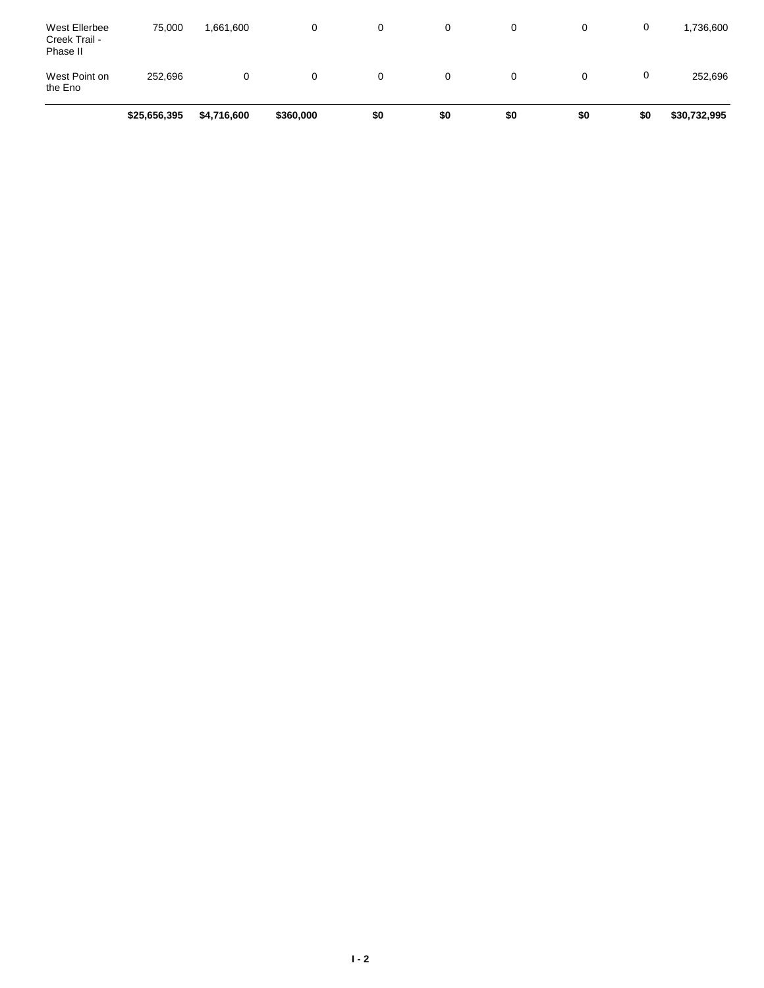|                                            | \$25,656,395 | \$4,716,600 | \$360,000 | \$0 | \$0      | \$0 | \$0 | \$0 | \$30,732,995 |
|--------------------------------------------|--------------|-------------|-----------|-----|----------|-----|-----|-----|--------------|
| West Point on<br>the Eno                   | 252.696      | 0           | 0         | 0   | $\Omega$ | 0   | 0   | 0   | 252,696      |
| West Ellerbee<br>Creek Trail -<br>Phase II | 75,000       | 1,661,600   | 0         | 0   | $\Omega$ | 0   | 0   | 0   | 1,736,600    |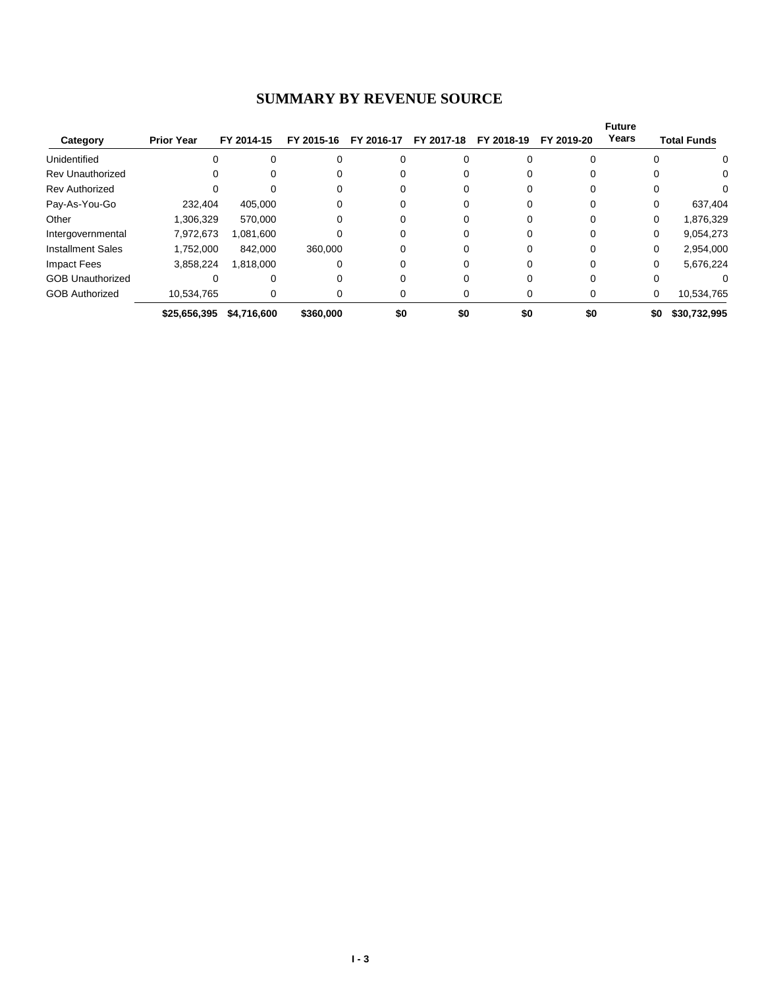#### **SUMMARY BY REVENUE SOURCE**

| Category                 | <b>Prior Year</b> | FY 2014-15  | FY 2015-16 | FY 2016-17 | FY 2017-18 | FY 2018-19 | FY 2019-20 | <b>Future</b><br>Years | <b>Total Funds</b> |
|--------------------------|-------------------|-------------|------------|------------|------------|------------|------------|------------------------|--------------------|
| Unidentified             | 0                 |             |            |            |            |            |            |                        | 0                  |
| <b>Rev Unauthorized</b>  | 0                 |             |            |            |            |            |            |                        | $\Omega$           |
| <b>Rev Authorized</b>    |                   |             |            | $\Omega$   |            |            |            |                        |                    |
| Pay-As-You-Go            | 232,404           | 405,000     |            |            |            |            |            |                        | 637,404            |
| Other                    | 1,306,329         | 570.000     |            |            |            |            |            | 0                      | 1,876,329          |
| Intergovernmental        | 7,972,673         | 1,081,600   |            |            |            |            |            | 0                      | 9,054,273          |
| <b>Installment Sales</b> | 1.752.000         | 842.000     | 360,000    |            |            |            | $\Omega$   | $\Omega$               | 2,954,000          |
| Impact Fees              | 3,858,224         | 1,818,000   |            | 0          |            |            | $\Omega$   | 0                      | 5,676,224          |
| <b>GOB Unauthorized</b>  |                   |             |            |            |            |            |            |                        |                    |
| <b>GOB Authorized</b>    | 10,534,765        |             |            |            |            |            | 0          | 0                      | 10,534,765         |
|                          | \$25,656,395      | \$4,716,600 | \$360,000  | \$0        | \$0        | \$0        | \$0        | \$0                    | \$30,732,995       |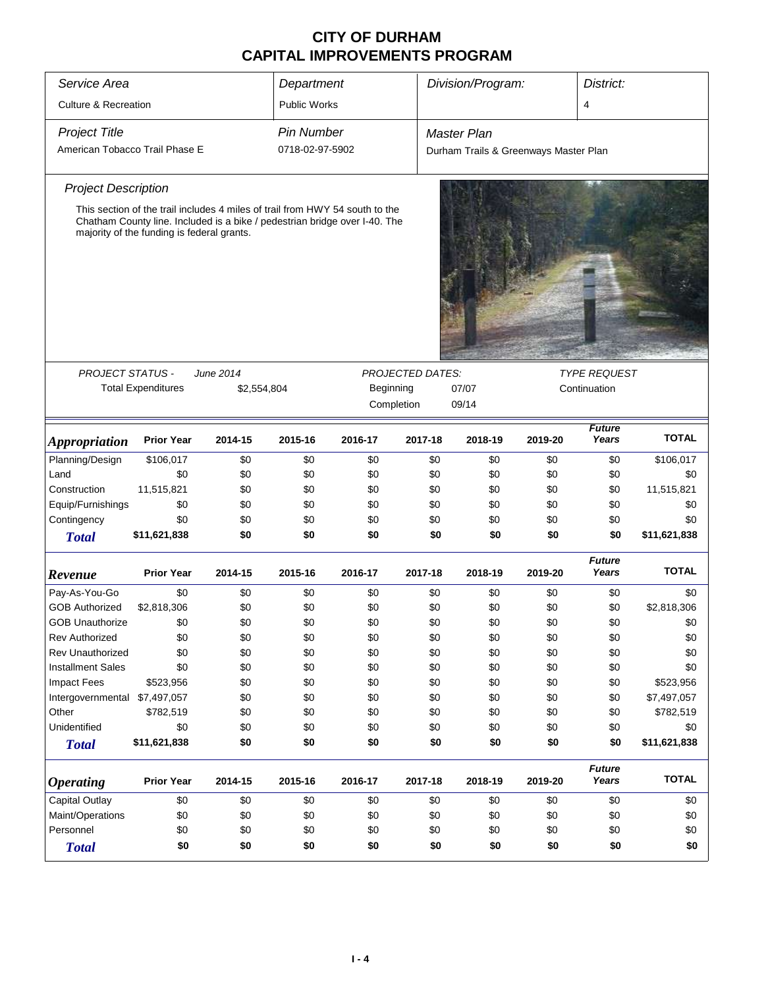| Service Area                    |                                                                                                                                                                                                          |             | Department          |           |                         | Division/Program:                     |         | District:              |              |
|---------------------------------|----------------------------------------------------------------------------------------------------------------------------------------------------------------------------------------------------------|-------------|---------------------|-----------|-------------------------|---------------------------------------|---------|------------------------|--------------|
| <b>Culture &amp; Recreation</b> |                                                                                                                                                                                                          |             | <b>Public Works</b> |           |                         |                                       |         | $\overline{4}$         |              |
| <b>Project Title</b>            |                                                                                                                                                                                                          |             | <b>Pin Number</b>   |           |                         | Master Plan                           |         |                        |              |
| American Tobacco Trail Phase E  |                                                                                                                                                                                                          |             | 0718-02-97-5902     |           |                         | Durham Trails & Greenways Master Plan |         |                        |              |
|                                 |                                                                                                                                                                                                          |             |                     |           |                         |                                       |         |                        |              |
| <b>Project Description</b>      |                                                                                                                                                                                                          |             |                     |           |                         |                                       |         |                        |              |
|                                 | This section of the trail includes 4 miles of trail from HWY 54 south to the<br>Chatham County line. Included is a bike / pedestrian bridge over I-40. The<br>majority of the funding is federal grants. |             |                     |           |                         |                                       |         |                        |              |
| <b>PROJECT STATUS -</b>         |                                                                                                                                                                                                          | June 2014   |                     |           | <b>PROJECTED DATES:</b> |                                       |         | <b>TYPE REQUEST</b>    |              |
|                                 | <b>Total Expenditures</b>                                                                                                                                                                                | \$2,554,804 |                     | Beginning |                         | 07/07                                 |         | Continuation           |              |
|                                 |                                                                                                                                                                                                          |             |                     |           | Completion              | 09/14                                 |         |                        |              |
| <b>Appropriation</b>            | <b>Prior Year</b>                                                                                                                                                                                        | 2014-15     | 2015-16             | 2016-17   | 2017-18                 | 2018-19                               | 2019-20 | <b>Future</b><br>Years | <b>TOTAL</b> |
| Planning/Design                 | \$106,017                                                                                                                                                                                                | \$0         | \$0                 | \$0       | \$0                     | \$0                                   | \$0     | \$0                    | \$106,017    |
| Land                            | \$0                                                                                                                                                                                                      | \$0         | \$0                 | \$0       | \$0                     | \$0                                   | \$0     | \$0                    | \$0          |
| Construction                    | 11,515,821                                                                                                                                                                                               | \$0         | \$0                 | \$0       | \$0                     | \$0                                   | \$0     | \$0                    | 11,515,821   |
| Equip/Furnishings               | \$0                                                                                                                                                                                                      | \$0         | \$0                 | \$0       | \$0                     | \$0                                   | \$0     | \$0                    | \$0          |
| Contingency                     | \$0                                                                                                                                                                                                      | \$0         | \$0                 | \$0       | \$0                     | \$0                                   | \$0     | \$0                    | \$0          |
| <b>Total</b>                    | \$11,621,838                                                                                                                                                                                             | \$0         | \$0                 | \$0       | \$0                     | \$0                                   | \$0     | \$0                    | \$11,621,838 |
| Revenue                         | <b>Prior Year</b>                                                                                                                                                                                        | 2014-15     | 2015-16             | 2016-17   | 2017-18                 | 2018-19                               | 2019-20 | <b>Future</b><br>Years | <b>TOTAL</b> |
| Pay-As-You-Go                   | \$0                                                                                                                                                                                                      | \$0         | \$0                 | \$0       | \$0                     | \$0                                   | \$0     | \$0                    | \$0          |
| <b>GOB Authorized</b>           | \$2,818,306                                                                                                                                                                                              | \$0         | \$0                 | \$0       | \$0                     | \$0                                   | \$0     | \$0                    | \$2,818,306  |
| <b>GOB Unauthorize</b>          | \$0                                                                                                                                                                                                      | \$0         | \$0                 | \$0       | \$0                     | \$0                                   | \$0     | \$0                    | \$0          |
| Rev Authorized                  | \$0                                                                                                                                                                                                      | \$0         | \$0                 | \$0       | \$0                     | \$0                                   | \$0     | \$0                    | \$0          |
| <b>Rev Unauthorized</b>         | \$0                                                                                                                                                                                                      | \$0         | \$0                 | \$0       | \$0                     | \$0                                   | \$0     | \$0                    | \$0          |
| <b>Installment Sales</b>        | \$0                                                                                                                                                                                                      | \$0         | \$0                 | \$0       | \$0                     | \$0                                   | \$0     | \$0                    | \$0          |
| <b>Impact Fees</b>              | \$523,956                                                                                                                                                                                                | \$0         | \$0                 | \$0       | \$0                     | \$0                                   | \$0     | \$0                    | \$523,956    |
| Intergovernmental \$7,497,057   |                                                                                                                                                                                                          | \$0         | \$0                 | \$0       | \$0                     | \$0                                   | \$0     | \$0                    | \$7,497,057  |
| Other                           | \$782,519                                                                                                                                                                                                | \$0         | \$0                 | \$0       | \$0                     | \$0                                   | \$0     | \$0                    | \$782,519    |
| Unidentified                    | \$0                                                                                                                                                                                                      | \$0         | \$0                 | \$0       | \$0                     | \$0                                   | \$0     | \$0                    | \$0          |
| <b>Total</b>                    | \$11,621,838                                                                                                                                                                                             | \$0         | \$0                 | \$0       | \$0                     | \$0                                   | \$0     | \$0                    | \$11,621,838 |
|                                 |                                                                                                                                                                                                          |             |                     |           |                         |                                       |         |                        |              |
| <b>Operating</b>                | <b>Prior Year</b>                                                                                                                                                                                        | 2014-15     | 2015-16             | 2016-17   | 2017-18                 | 2018-19                               | 2019-20 | <b>Future</b><br>Years | <b>TOTAL</b> |
| Capital Outlay                  | \$0                                                                                                                                                                                                      | \$0         | \$0                 | \$0       | \$0                     | \$0                                   | \$0     | \$0                    | \$0          |
| Maint/Operations                | \$0                                                                                                                                                                                                      | \$0         | \$0                 | \$0       | \$0                     | \$0                                   | \$0     | \$0                    | \$0          |
| Personnel                       | \$0                                                                                                                                                                                                      | \$0         | \$0                 | \$0       | \$0                     | \$0                                   | \$0     | \$0                    | \$0          |
| <b>Total</b>                    | \$0                                                                                                                                                                                                      | \$0         | \$0                 | \$0       | \$0                     | \$0                                   | \$0     | \$0                    | \$0          |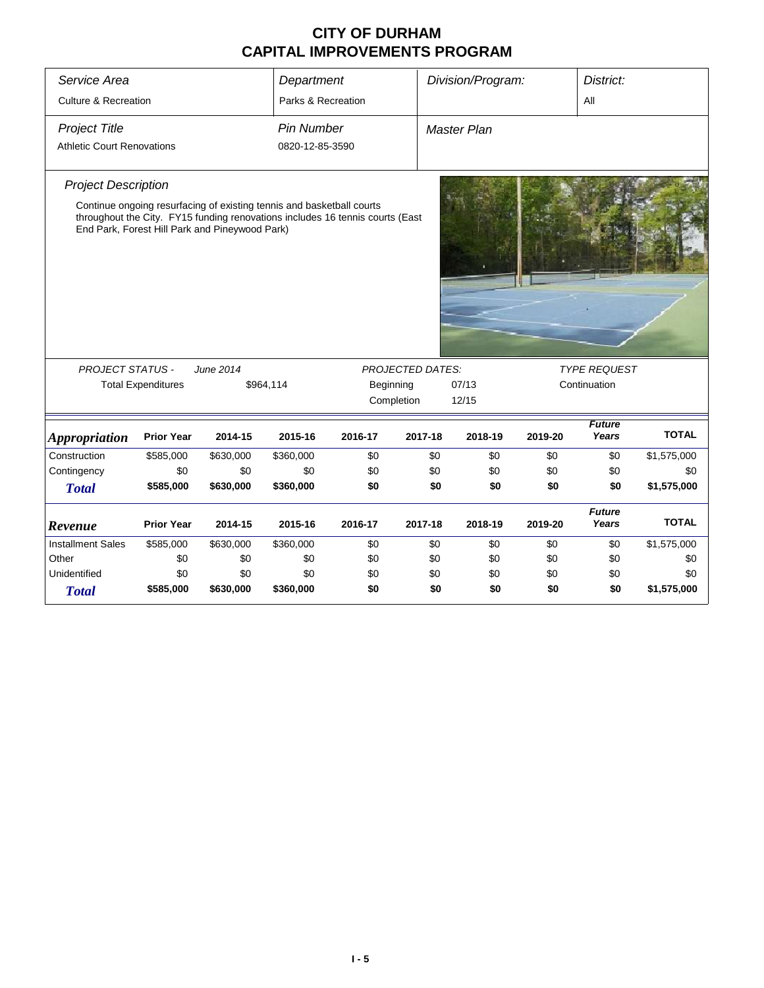| Service Area<br><b>Culture &amp; Recreation</b>           |                                                                                                                         |           | Department<br>Parks & Recreation     |                                                                               |                         | Division/Program:<br>District:<br>All |         |                        |              |
|-----------------------------------------------------------|-------------------------------------------------------------------------------------------------------------------------|-----------|--------------------------------------|-------------------------------------------------------------------------------|-------------------------|---------------------------------------|---------|------------------------|--------------|
| <b>Project Title</b><br><b>Athletic Court Renovations</b> |                                                                                                                         |           | <b>Pin Number</b><br>0820-12-85-3590 |                                                                               |                         | Master Plan                           |         |                        |              |
| <b>Project Description</b>                                | Continue ongoing resurfacing of existing tennis and basketball courts<br>End Park, Forest Hill Park and Pineywood Park) |           |                                      | throughout the City. FY15 funding renovations includes 16 tennis courts (East |                         |                                       |         |                        |              |
| <b>PROJECT STATUS -</b>                                   |                                                                                                                         | June 2014 |                                      |                                                                               | <b>PROJECTED DATES:</b> |                                       |         | <b>TYPE REQUEST</b>    |              |
|                                                           | <b>Total Expenditures</b>                                                                                               |           | \$964,114                            | Beginning                                                                     | Completion              | 07/13<br>12/15                        |         | Continuation           |              |
| <b>Appropriation</b>                                      | <b>Prior Year</b>                                                                                                       | 2014-15   | 2015-16                              | 2016-17                                                                       | 2017-18                 | 2018-19                               | 2019-20 | <b>Future</b><br>Years | <b>TOTAL</b> |
| Construction                                              | \$585,000                                                                                                               | \$630,000 | \$360,000                            | \$0                                                                           | \$0                     | \$0                                   | \$0     | \$0                    | \$1,575,000  |
| Contingency                                               | \$0                                                                                                                     | \$0       | \$0                                  | \$0                                                                           | \$0                     | \$0                                   | \$0     | \$0                    | \$0          |
| <b>Total</b>                                              | \$585,000                                                                                                               | \$630,000 | \$360,000                            | \$0                                                                           | \$0                     | \$0                                   | \$0     | \$0                    | \$1,575,000  |
| Revenue                                                   | <b>Prior Year</b>                                                                                                       | 2014-15   | 2015-16                              | 2016-17                                                                       | 2017-18                 | 2018-19                               | 2019-20 | <b>Future</b><br>Years | <b>TOTAL</b> |
| <b>Installment Sales</b>                                  | \$585,000                                                                                                               | \$630,000 | \$360,000                            | \$0                                                                           | \$0                     | \$0                                   | \$0     | \$0                    | \$1,575,000  |
| Other                                                     | \$0                                                                                                                     | \$0       | \$0                                  | \$0                                                                           | \$0                     | \$0                                   | \$0     | \$0                    | \$0          |
| Unidentified                                              | \$0                                                                                                                     | \$0       | \$0                                  | \$0                                                                           | \$0                     | \$0                                   | \$0     | \$0                    | \$0          |
| <b>Total</b>                                              | \$585,000                                                                                                               | \$630,000 | \$360,000                            | \$0                                                                           | \$0                     | \$0                                   | \$0     | \$0                    | \$1,575,000  |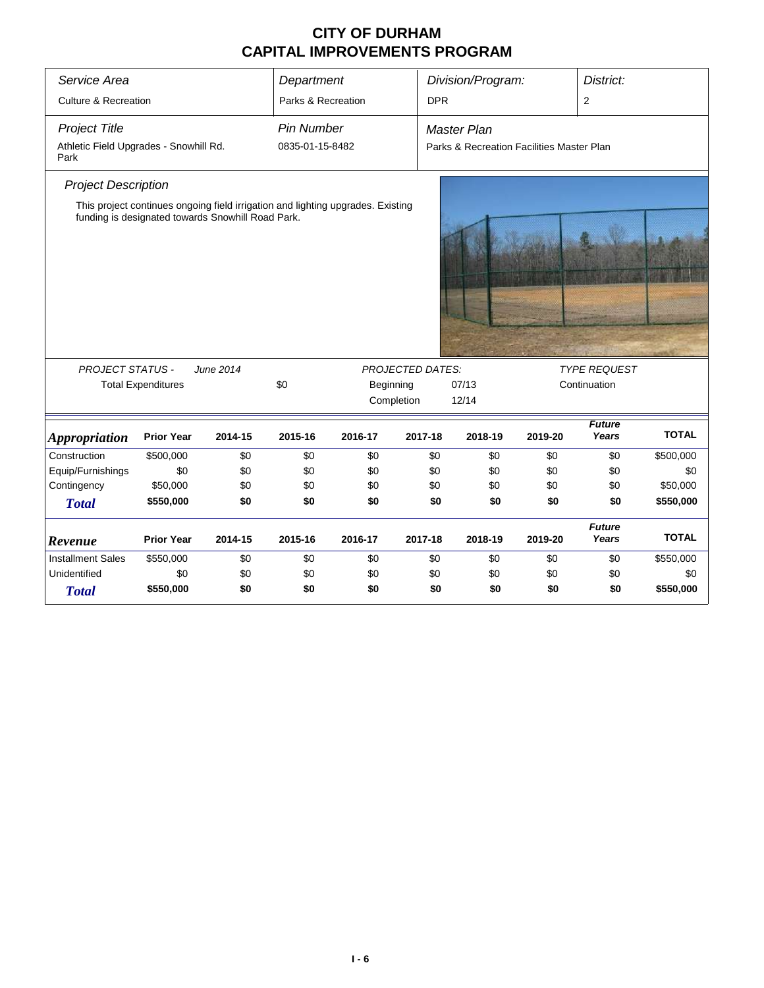| Service Area                                   |                                                                                                                                      |           | Department         |           |                         | Division/Program:<br>District:            |         |                        |              |  |
|------------------------------------------------|--------------------------------------------------------------------------------------------------------------------------------------|-----------|--------------------|-----------|-------------------------|-------------------------------------------|---------|------------------------|--------------|--|
|                                                |                                                                                                                                      |           |                    |           |                         |                                           |         |                        |              |  |
| <b>Culture &amp; Recreation</b>                |                                                                                                                                      |           | Parks & Recreation |           | <b>DPR</b>              |                                           |         | 2                      |              |  |
| <b>Project Title</b>                           |                                                                                                                                      |           | <b>Pin Number</b>  |           |                         | <b>Master Plan</b>                        |         |                        |              |  |
| Athletic Field Upgrades - Snowhill Rd.<br>Park |                                                                                                                                      |           | 0835-01-15-8482    |           |                         | Parks & Recreation Facilities Master Plan |         |                        |              |  |
| <b>Project Description</b>                     |                                                                                                                                      |           |                    |           |                         |                                           |         |                        |              |  |
|                                                | This project continues ongoing field irrigation and lighting upgrades. Existing<br>funding is designated towards Snowhill Road Park. |           |                    |           |                         |                                           |         |                        |              |  |
| <b>PROJECT STATUS -</b>                        |                                                                                                                                      | June 2014 |                    |           | <b>PROJECTED DATES:</b> |                                           |         | <b>TYPE REQUEST</b>    |              |  |
|                                                | <b>Total Expenditures</b>                                                                                                            |           | \$0                | Beginning |                         | 07/13                                     |         | Continuation           |              |  |
|                                                |                                                                                                                                      |           |                    |           | Completion              | 12/14                                     |         |                        |              |  |
| <i><b>Appropriation</b></i>                    | <b>Prior Year</b>                                                                                                                    | 2014-15   | 2015-16            | 2016-17   | 2017-18                 | 2018-19                                   | 2019-20 | <b>Future</b><br>Years | <b>TOTAL</b> |  |
| Construction                                   | \$500,000                                                                                                                            | \$0       | \$0                | \$0       | \$0                     | \$0                                       | \$0     | \$0                    | \$500,000    |  |
| Equip/Furnishings                              | \$0                                                                                                                                  | \$0       | \$0                | \$0       | \$0                     | \$0                                       | \$0     | \$0                    | \$0          |  |
| Contingency                                    | \$50,000                                                                                                                             | \$0       | \$0                | \$0       | \$0                     | \$0                                       | \$0     | \$0                    | \$50,000     |  |
| <b>Total</b>                                   | \$550,000                                                                                                                            | \$0       | \$0                | \$0       | \$0                     | \$0                                       | \$0     | \$0                    | \$550,000    |  |
| Revenue                                        | <b>Prior Year</b>                                                                                                                    | 2014-15   | 2015-16            | 2016-17   | 2017-18                 | 2018-19                                   | 2019-20 | <b>Future</b><br>Years | <b>TOTAL</b> |  |
| <b>Installment Sales</b>                       | \$550,000                                                                                                                            | \$0       | \$0                | \$0       | \$0                     | \$0                                       | \$0     | \$0                    | \$550,000    |  |
| Unidentified                                   | \$0                                                                                                                                  | \$0       | \$0                | \$0       | \$0                     | \$0                                       | \$0     | \$0                    | \$0          |  |
| <b>Total</b>                                   | \$550,000                                                                                                                            | \$0       | \$0                | \$0       | \$0                     | \$0                                       | \$0     | \$0                    | \$550,000    |  |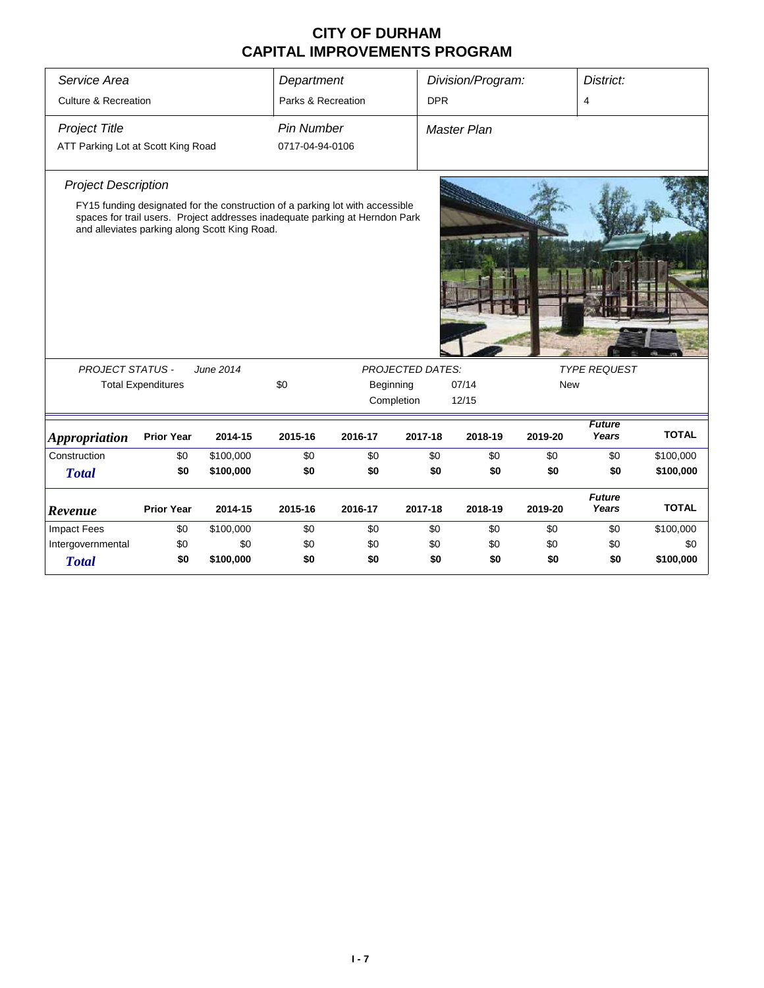| Service Area                                                                                                                                                                                                                                                                                                                 |                           |           | Department         |         |            | Division/Program:  |            | District:              |              |  |
|------------------------------------------------------------------------------------------------------------------------------------------------------------------------------------------------------------------------------------------------------------------------------------------------------------------------------|---------------------------|-----------|--------------------|---------|------------|--------------------|------------|------------------------|--------------|--|
| <b>Culture &amp; Recreation</b>                                                                                                                                                                                                                                                                                              |                           |           | Parks & Recreation |         | <b>DPR</b> |                    |            | 4                      |              |  |
| <b>Project Title</b>                                                                                                                                                                                                                                                                                                         |                           |           | <b>Pin Number</b>  |         |            | <b>Master Plan</b> |            |                        |              |  |
| ATT Parking Lot at Scott King Road                                                                                                                                                                                                                                                                                           |                           |           | 0717-04-94-0106    |         |            |                    |            |                        |              |  |
| <b>Project Description</b>                                                                                                                                                                                                                                                                                                   |                           |           |                    |         |            |                    |            |                        |              |  |
| FY15 funding designated for the construction of a parking lot with accessible<br><b>AND READY</b><br>spaces for trail users. Project addresses inadequate parking at Herndon Park<br>and alleviates parking along Scott King Road.<br><b>PROJECT STATUS -</b><br>June 2014<br><b>PROJECTED DATES:</b><br><b>TYPE REQUEST</b> |                           |           |                    |         |            |                    |            |                        |              |  |
|                                                                                                                                                                                                                                                                                                                              | <b>Total Expenditures</b> |           | \$0                |         | Beginning  | 07/14              | <b>New</b> |                        |              |  |
|                                                                                                                                                                                                                                                                                                                              |                           |           |                    |         | Completion | 12/15              |            |                        |              |  |
|                                                                                                                                                                                                                                                                                                                              |                           |           |                    |         |            |                    |            |                        |              |  |
| <i><b>Appropriation</b></i>                                                                                                                                                                                                                                                                                                  | <b>Prior Year</b>         | 2014-15   | 2015-16            | 2016-17 | 2017-18    | 2018-19            | 2019-20    | <b>Future</b><br>Years | <b>TOTAL</b> |  |
| Construction                                                                                                                                                                                                                                                                                                                 | \$0                       | \$100,000 | \$0                | \$0     | \$0        | \$0                | \$0        | \$0                    | \$100,000    |  |
| <b>Total</b>                                                                                                                                                                                                                                                                                                                 | \$0                       | \$100,000 | \$0                | \$0     | \$0        | \$0                | \$0        | \$0                    | \$100,000    |  |
| Revenue                                                                                                                                                                                                                                                                                                                      | <b>Prior Year</b>         | 2014-15   | 2015-16            | 2016-17 | 2017-18    | 2018-19            | 2019-20    | <b>Future</b><br>Years | <b>TOTAL</b> |  |
| <b>Impact Fees</b>                                                                                                                                                                                                                                                                                                           | \$0                       | \$100,000 | \$0                | \$0     | \$0        | \$0                | \$0        | \$0                    | \$100,000    |  |
| Intergovernmental                                                                                                                                                                                                                                                                                                            | \$0                       | \$0       | \$0                | \$0     | \$0        | \$0                | \$0        | \$0                    | \$0          |  |
| <b>Total</b>                                                                                                                                                                                                                                                                                                                 | \$0                       | \$100,000 | \$0                | \$0     | \$0        | \$0                | \$0        | \$0                    | \$100,000    |  |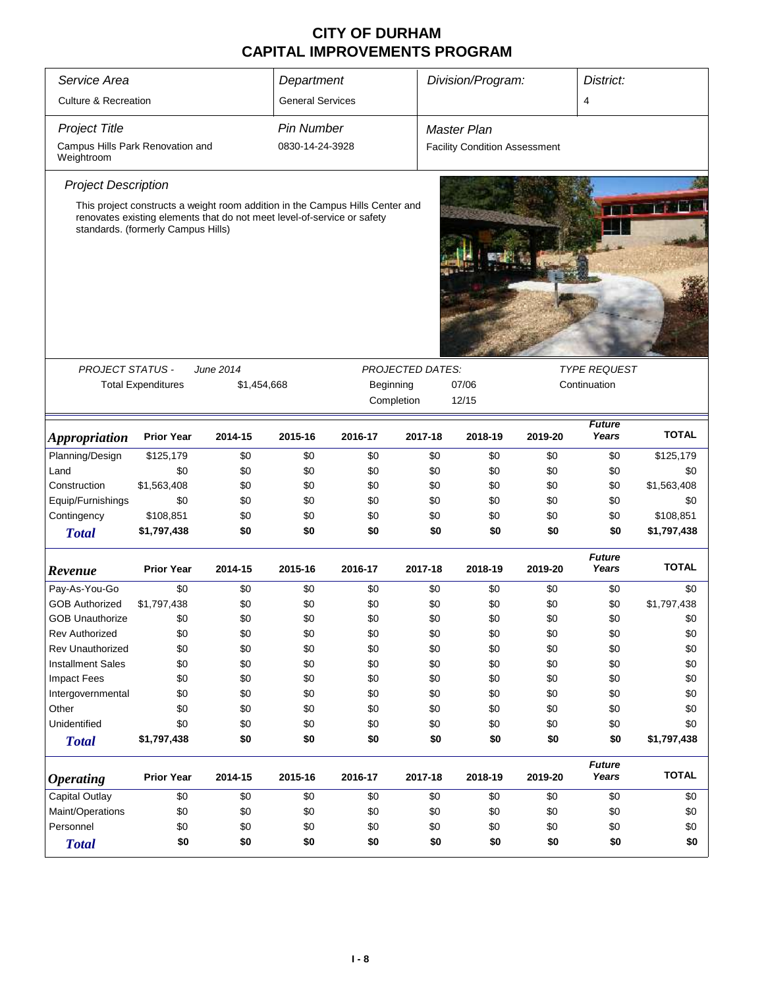| Service Area                                   |                                                                                                                                                                                                |             | Department              |           |                         | Division/Program:                    |              | District:              |              |
|------------------------------------------------|------------------------------------------------------------------------------------------------------------------------------------------------------------------------------------------------|-------------|-------------------------|-----------|-------------------------|--------------------------------------|--------------|------------------------|--------------|
| <b>Culture &amp; Recreation</b>                |                                                                                                                                                                                                |             | <b>General Services</b> |           |                         |                                      |              | 4                      |              |
| <b>Project Title</b>                           |                                                                                                                                                                                                |             | <b>Pin Number</b>       |           |                         | Master Plan                          |              |                        |              |
| Campus Hills Park Renovation and<br>Weightroom |                                                                                                                                                                                                |             | 0830-14-24-3928         |           |                         | <b>Facility Condition Assessment</b> |              |                        |              |
| <b>Project Description</b>                     |                                                                                                                                                                                                |             |                         |           |                         |                                      |              |                        |              |
|                                                | This project constructs a weight room addition in the Campus Hills Center and<br>renovates existing elements that do not meet level-of-service or safety<br>standards. (formerly Campus Hills) |             |                         |           |                         |                                      |              |                        |              |
|                                                |                                                                                                                                                                                                |             |                         |           |                         |                                      |              |                        |              |
| <b>PROJECT STATUS -</b>                        |                                                                                                                                                                                                | June 2014   |                         |           | <b>PROJECTED DATES:</b> |                                      |              | <b>TYPE REQUEST</b>    |              |
|                                                | <b>Total Expenditures</b>                                                                                                                                                                      | \$1,454,668 |                         | Beginning | Completion              | 07/06<br>12/15                       | Continuation |                        |              |
|                                                |                                                                                                                                                                                                |             |                         |           |                         |                                      |              | <b>Future</b>          |              |
| <i><b>Appropriation</b></i>                    | <b>Prior Year</b>                                                                                                                                                                              | 2014-15     | 2015-16                 | 2016-17   | 2017-18                 | 2018-19                              | 2019-20      | Years                  | <b>TOTAL</b> |
| Planning/Design                                | \$125,179                                                                                                                                                                                      | \$0         | \$0                     | \$0       | \$0                     | \$0                                  | \$0          | \$0                    | \$125,179    |
| Land                                           | \$0                                                                                                                                                                                            | \$0         | \$0                     | \$0       | \$0                     | \$0                                  | \$0          | \$0                    | \$0          |
| Construction                                   | \$1,563,408                                                                                                                                                                                    | \$0         | \$0                     | \$0       | \$0                     | \$0                                  | \$0          | \$0                    | \$1,563,408  |
| Equip/Furnishings                              | \$0                                                                                                                                                                                            | \$0         | \$0                     | \$0       | \$0                     | \$0                                  | \$0          | \$0                    | \$0          |
| Contingency                                    | \$108,851                                                                                                                                                                                      | \$0         | \$0                     | \$0       | \$0                     | \$0                                  | \$0          | \$0                    | \$108,851    |
| <b>Total</b>                                   | \$1,797,438                                                                                                                                                                                    | \$0         | \$0                     | \$0       | \$0                     | \$0                                  | \$0          | \$0                    | \$1,797,438  |
| Revenue                                        | <b>Prior Year</b>                                                                                                                                                                              | 2014-15     | 2015-16                 | 2016-17   | 2017-18                 | 2018-19                              | 2019-20      | <b>Future</b><br>Years | <b>TOTAL</b> |
| Pay-As-You-Go                                  | \$0                                                                                                                                                                                            | \$0         | \$0                     | \$0       | \$0                     | \$0                                  | \$0          | \$0                    | \$0          |
| <b>GOB Authorized</b>                          | \$1,797,438                                                                                                                                                                                    | \$0         | \$0                     | \$0       | \$0                     | \$0                                  | \$0          | \$0                    | \$1,797,438  |
| <b>GOB Unauthorize</b>                         | \$0                                                                                                                                                                                            | \$0         | \$0                     | \$0       | \$0                     | \$0                                  | \$0          | \$0                    | \$0          |
| Rev Authorized                                 | \$0                                                                                                                                                                                            | \$0         | \$0                     | \$0       | \$0                     | \$0                                  | \$0          | \$0                    | \$0          |
| <b>Rev Unauthorized</b>                        | \$0                                                                                                                                                                                            | \$0         | \$0                     | \$0       | \$0                     | \$0                                  | \$0          | \$0                    | \$0          |
| <b>Installment Sales</b>                       | \$0                                                                                                                                                                                            | \$0         | \$0                     | \$0       | \$0                     | \$0                                  | \$0          | \$0                    | \$0          |
| <b>Impact Fees</b>                             | \$0                                                                                                                                                                                            | \$0         | \$0                     | \$0       | \$0                     | \$0                                  | \$0          | \$0                    | \$0          |
| Intergovernmental                              | \$0                                                                                                                                                                                            | \$0         | \$0                     | \$0       | \$0                     | \$0                                  | \$0          | \$0                    | \$0          |
| Other                                          | \$0                                                                                                                                                                                            | \$0         | \$0                     | \$0       | \$0                     | \$0                                  | \$0          | \$0                    | \$0          |
| Unidentified                                   | \$0                                                                                                                                                                                            | \$0         | \$0                     | \$0       | \$0                     | \$0                                  | \$0          | \$0                    | \$0          |
| <b>Total</b>                                   | \$1,797,438                                                                                                                                                                                    | \$0         | \$0                     | \$0       | \$0                     | \$0                                  | \$0          | \$0                    | \$1,797,438  |
|                                                |                                                                                                                                                                                                |             |                         |           |                         |                                      |              |                        |              |
| <b>Operating</b>                               | <b>Prior Year</b>                                                                                                                                                                              | 2014-15     | 2015-16                 | 2016-17   | 2017-18                 | 2018-19                              | 2019-20      | <b>Future</b><br>Years | <b>TOTAL</b> |
| Capital Outlay                                 | \$0                                                                                                                                                                                            | \$0         | \$0                     | \$0       | \$0                     | \$0                                  | \$0          | \$0                    | \$0          |
| Maint/Operations                               | \$0                                                                                                                                                                                            | \$0         | \$0                     | \$0       | \$0                     | \$0                                  | \$0          | \$0                    | \$0          |
| Personnel                                      | \$0                                                                                                                                                                                            | \$0         | \$0                     | \$0       | \$0                     | \$0                                  | \$0          | \$0                    | \$0          |
| <b>Total</b>                                   | \$0                                                                                                                                                                                            | \$0         | \$0                     | \$0       | \$0                     | \$0                                  | \$0          | \$0                    | \$0          |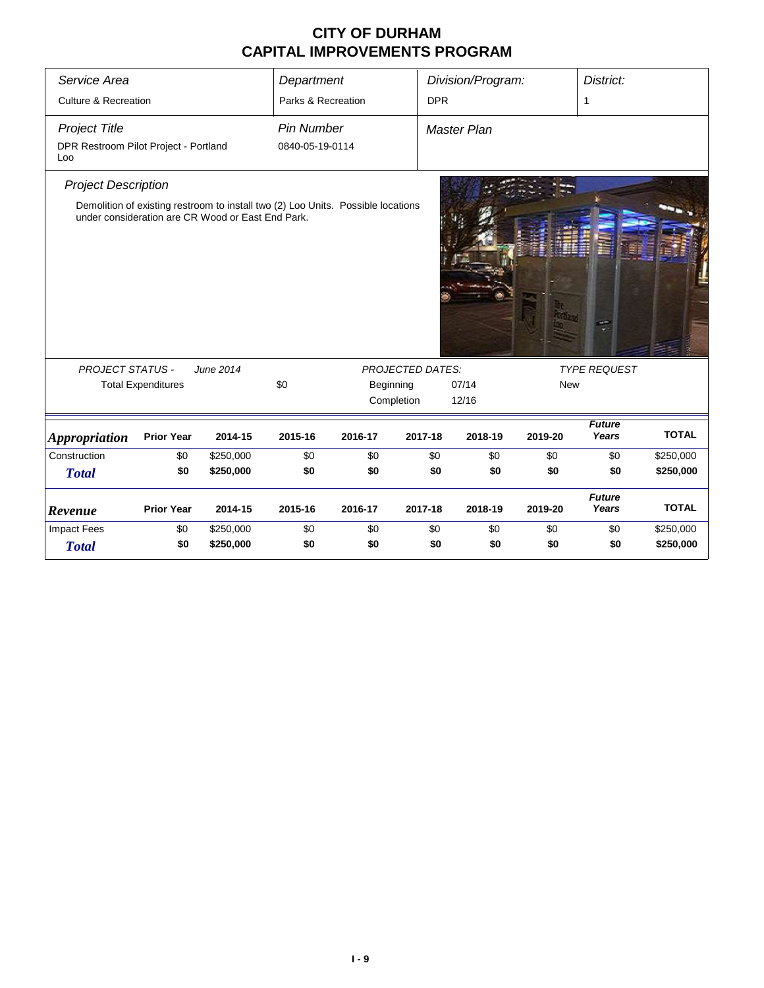| Service Area                                 | Department<br>Parks & Recreation<br><b>Culture &amp; Recreation</b> |                                                                                                                                       |                   |           |                         | Division/Program:  |                     | District:              |              |  |
|----------------------------------------------|---------------------------------------------------------------------|---------------------------------------------------------------------------------------------------------------------------------------|-------------------|-----------|-------------------------|--------------------|---------------------|------------------------|--------------|--|
|                                              |                                                                     |                                                                                                                                       |                   |           | <b>DPR</b>              |                    |                     | $\mathbf{1}$           |              |  |
| <b>Project Title</b>                         |                                                                     |                                                                                                                                       | <b>Pin Number</b> |           |                         | <b>Master Plan</b> |                     |                        |              |  |
| DPR Restroom Pilot Project - Portland<br>Loo |                                                                     |                                                                                                                                       | 0840-05-19-0114   |           |                         |                    |                     |                        |              |  |
| <b>Project Description</b>                   |                                                                     |                                                                                                                                       |                   |           |                         |                    |                     |                        |              |  |
|                                              |                                                                     | Demolition of existing restroom to install two (2) Loo Units. Possible locations<br>under consideration are CR Wood or East End Park. |                   |           |                         |                    |                     |                        |              |  |
| <b>PROJECT STATUS -</b>                      |                                                                     | June 2014                                                                                                                             |                   |           | <b>PROJECTED DATES:</b> |                    | <b>TYPE REQUEST</b> |                        |              |  |
|                                              | <b>Total Expenditures</b>                                           |                                                                                                                                       | \$0               | Beginning |                         | 07/14              | <b>New</b>          |                        |              |  |
|                                              |                                                                     |                                                                                                                                       |                   |           | Completion              | 12/16              |                     |                        |              |  |
| <b>Appropriation</b>                         | <b>Prior Year</b>                                                   | 2014-15                                                                                                                               | 2015-16           | 2016-17   | 2017-18                 | 2018-19            | 2019-20             | <b>Future</b><br>Years | <b>TOTAL</b> |  |
| Construction                                 | \$0                                                                 | \$250,000                                                                                                                             | \$0               | \$0       | \$0                     | \$0                | \$0                 | \$0                    | \$250,000    |  |
| <b>Total</b>                                 | \$0                                                                 | \$250,000                                                                                                                             | \$0               | \$0       | \$0                     | \$0                | \$0                 | \$0                    | \$250,000    |  |
| Revenue                                      | <b>Prior Year</b>                                                   | 2014-15                                                                                                                               | 2015-16           | 2016-17   | 2017-18                 | 2018-19            | 2019-20             | <b>Future</b><br>Years | <b>TOTAL</b> |  |
| <b>Impact Fees</b>                           | \$0                                                                 | \$250,000                                                                                                                             | \$0               | \$0       | \$0                     | \$0                | \$0                 | \$0                    | \$250,000    |  |
| <b>Total</b>                                 | \$0                                                                 | \$250,000                                                                                                                             | \$0               | \$0       | \$0                     | \$0                | \$0                 | \$0                    | \$250,000    |  |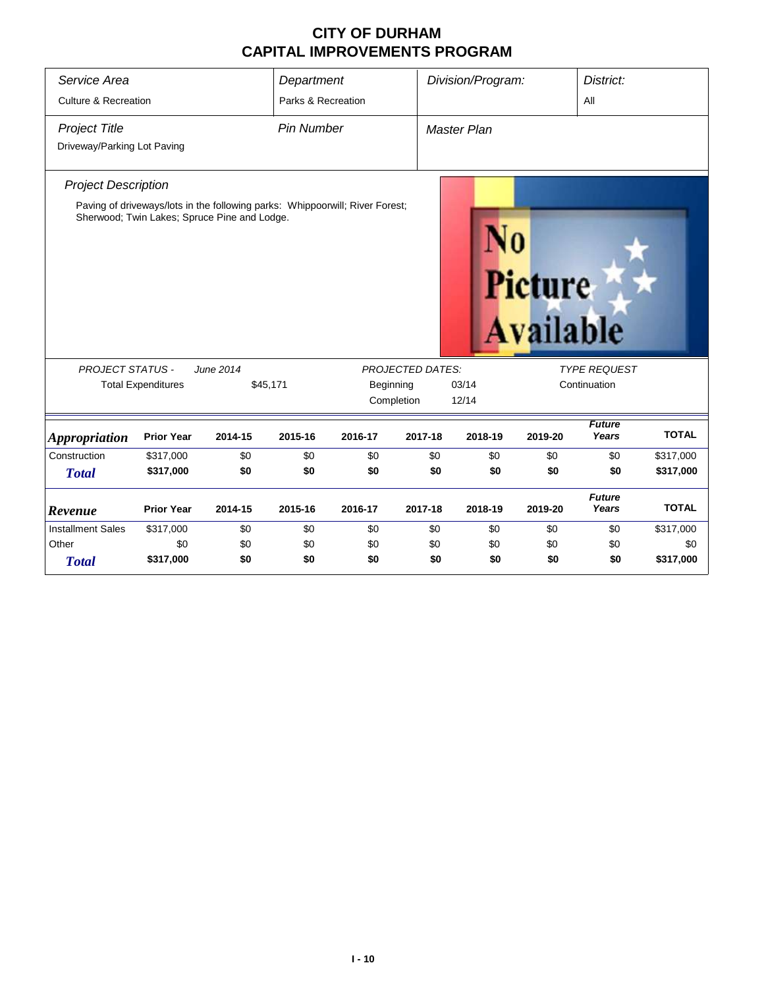| Service Area                    |                                              |           | Department         |                                                                              |                         | Division/Program: |                                    | District:              |              |
|---------------------------------|----------------------------------------------|-----------|--------------------|------------------------------------------------------------------------------|-------------------------|-------------------|------------------------------------|------------------------|--------------|
| <b>Culture &amp; Recreation</b> |                                              |           | Parks & Recreation |                                                                              |                         |                   |                                    | All                    |              |
| <b>Project Title</b>            |                                              |           | <b>Pin Number</b>  |                                                                              |                         | Master Plan       |                                    |                        |              |
| Driveway/Parking Lot Paving     |                                              |           |                    |                                                                              |                         |                   |                                    |                        |              |
| <b>Project Description</b>      |                                              |           |                    |                                                                              |                         |                   |                                    |                        |              |
|                                 | Sherwood; Twin Lakes; Spruce Pine and Lodge. |           |                    | Paving of driveways/lots in the following parks: Whippoorwill; River Forest; |                         |                   | <b>Picture</b><br><b>Available</b> |                        |              |
| <b>PROJECT STATUS -</b>         |                                              | June 2014 |                    |                                                                              | <b>PROJECTED DATES:</b> |                   |                                    | <b>TYPE REQUEST</b>    |              |
|                                 | <b>Total Expenditures</b>                    |           | \$45,171           | Beginning                                                                    |                         | 03/14             |                                    | Continuation           |              |
|                                 |                                              |           |                    | Completion                                                                   |                         | 12/14             |                                    |                        |              |
| <i><b>Appropriation</b></i>     | <b>Prior Year</b>                            | 2014-15   | 2015-16            | 2016-17                                                                      | 2017-18                 | 2018-19           | 2019-20                            | <b>Future</b><br>Years | <b>TOTAL</b> |
| Construction                    | \$317,000                                    | \$0       | \$0                | \$0                                                                          | \$0                     | \$0               | \$0                                | \$0                    | \$317,000    |
| <b>Total</b>                    | \$317,000                                    | \$0       | \$0                | \$0                                                                          | \$0                     | \$0               | \$0                                | \$0                    | \$317,000    |
| Revenue                         | <b>Prior Year</b>                            | 2014-15   | 2015-16            | 2016-17                                                                      | 2017-18                 | 2018-19           | 2019-20                            | <b>Future</b><br>Years | <b>TOTAL</b> |
| <b>Installment Sales</b>        | \$317,000                                    | \$0       | \$0                | \$0                                                                          | \$0                     | \$0               | \$0                                | \$0                    | \$317,000    |
| Other                           | \$0                                          | \$0       | \$0                | \$0                                                                          | \$0                     | \$0               | \$0                                | \$0                    | \$0          |
| <b>Total</b>                    | \$317,000                                    | \$0       | \$0                | \$0                                                                          | \$0                     | \$0               | \$0                                | \$0                    | \$317,000    |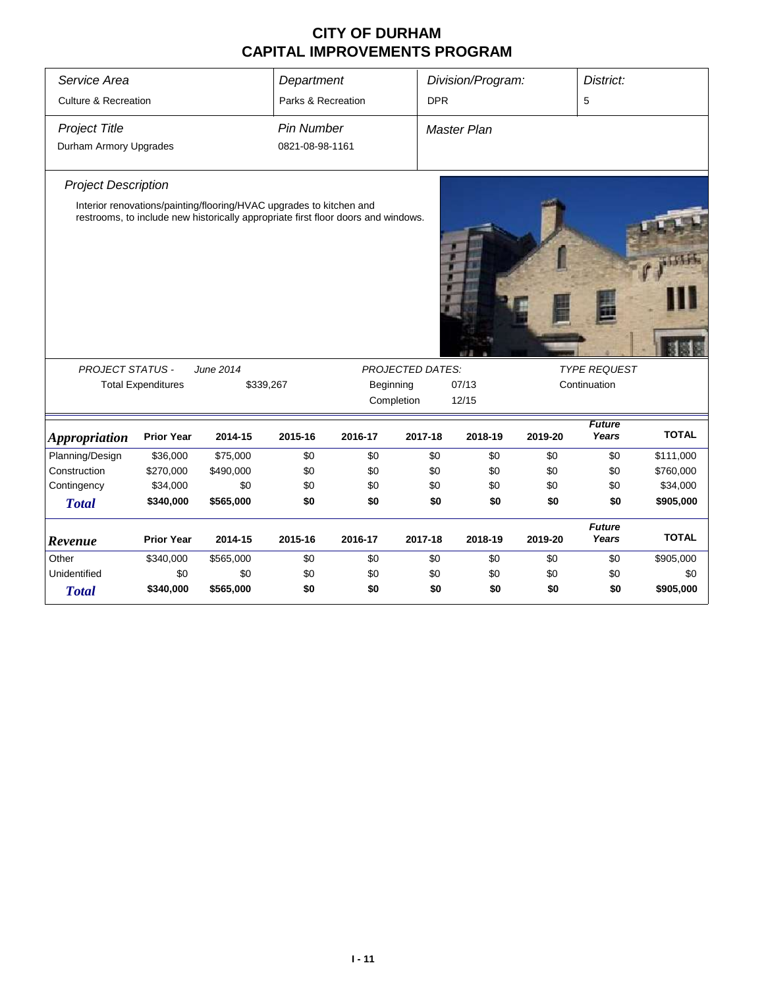| Service Area                                                                                                                                                                                                                                       |                           |           | Department         |                              |            | Division/Program:  |         | District:              |              |
|----------------------------------------------------------------------------------------------------------------------------------------------------------------------------------------------------------------------------------------------------|---------------------------|-----------|--------------------|------------------------------|------------|--------------------|---------|------------------------|--------------|
| <b>Culture &amp; Recreation</b>                                                                                                                                                                                                                    |                           |           | Parks & Recreation |                              | <b>DPR</b> |                    |         | 5                      |              |
| <b>Project Title</b>                                                                                                                                                                                                                               |                           |           | <b>Pin Number</b>  |                              |            | <b>Master Plan</b> |         |                        |              |
| Durham Armory Upgrades                                                                                                                                                                                                                             |                           |           | 0821-08-98-1161    |                              |            |                    |         |                        |              |
| <b>Project Description</b>                                                                                                                                                                                                                         |                           |           |                    |                              |            |                    |         |                        |              |
| Interior renovations/painting/flooring/HVAC upgrades to kitchen and<br>restrooms, to include new historically appropriate first floor doors and windows.<br><b>PROJECT STATUS -</b><br>June 2014<br><b>PROJECTED DATES:</b><br><b>TYPE REQUEST</b> |                           |           |                    |                              |            |                    |         |                        |              |
|                                                                                                                                                                                                                                                    | <b>Total Expenditures</b> |           | \$339,267          | Beginning                    |            |                    |         | Continuation           |              |
|                                                                                                                                                                                                                                                    |                           |           |                    | 07/13<br>Completion<br>12/15 |            |                    |         |                        |              |
| <b>Appropriation</b>                                                                                                                                                                                                                               | <b>Prior Year</b>         | 2014-15   | 2015-16            | 2016-17                      | 2017-18    | 2018-19            | 2019-20 | <b>Future</b><br>Years | <b>TOTAL</b> |
| Planning/Design                                                                                                                                                                                                                                    | \$36,000                  | \$75,000  | \$0                | \$0                          | \$0        | \$0                | \$0     | \$0                    | \$111,000    |
| Construction                                                                                                                                                                                                                                       | \$270,000                 | \$490,000 | \$0                | \$0                          | \$0        | \$0                | \$0     | \$0                    | \$760,000    |
| Contingency                                                                                                                                                                                                                                        | \$34,000                  | \$0       | \$0                | \$0                          | \$0        | \$0                | \$0     | \$0                    | \$34,000     |
| <b>Total</b>                                                                                                                                                                                                                                       | \$340,000                 | \$565,000 | \$0                | \$0                          | \$0        | \$0                | \$0     | \$0                    | \$905,000    |
| Revenue                                                                                                                                                                                                                                            | <b>Prior Year</b>         | 2014-15   | 2015-16            | 2016-17                      | 2017-18    | 2018-19            | 2019-20 | <b>Future</b><br>Years | <b>TOTAL</b> |
| Other                                                                                                                                                                                                                                              | \$340,000                 | \$565,000 | \$0                | \$0                          | \$0        | \$0                | \$0     | \$0                    | \$905,000    |
| Unidentified                                                                                                                                                                                                                                       | \$0                       | \$0       | \$0                | \$0                          | \$0        | \$0                | \$0     | \$0                    | \$0          |
| <b>Total</b>                                                                                                                                                                                                                                       | \$340,000                 | \$565,000 | \$0                | \$0                          | \$0        | \$0                | \$0     | \$0                    | \$905,000    |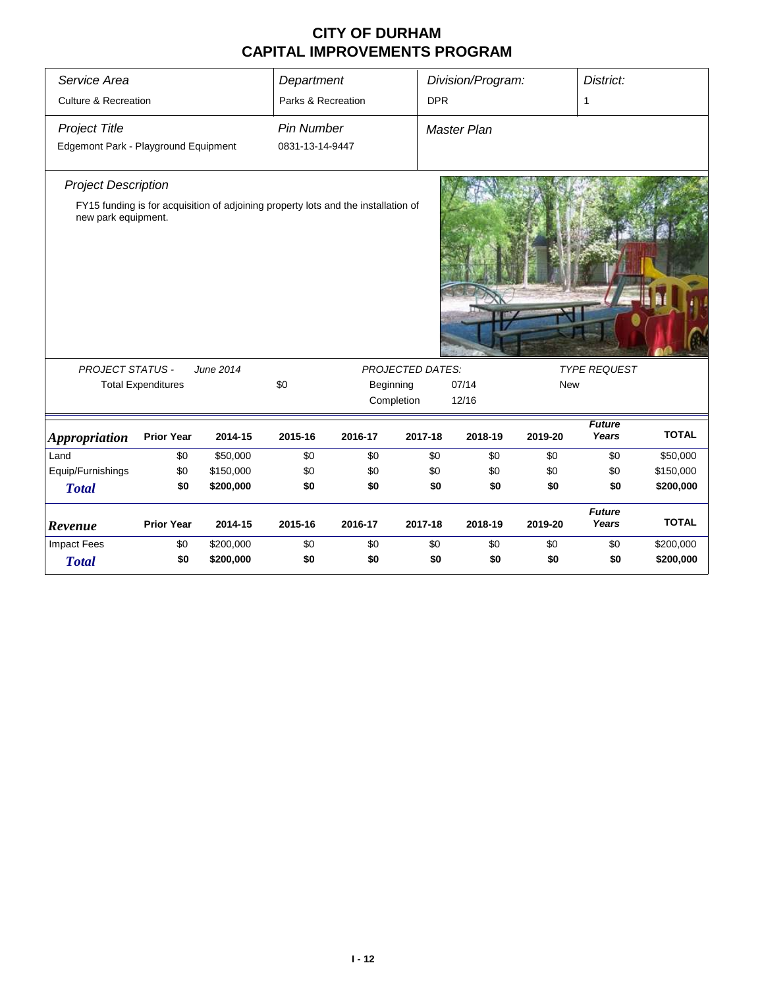| Service Area                         |                           |                                                                                    | Department         |           |                         | Division/Program: |            | District:              |              |
|--------------------------------------|---------------------------|------------------------------------------------------------------------------------|--------------------|-----------|-------------------------|-------------------|------------|------------------------|--------------|
|                                      |                           |                                                                                    |                    |           |                         |                   |            |                        |              |
| <b>Culture &amp; Recreation</b>      |                           |                                                                                    | Parks & Recreation |           | <b>DPR</b>              |                   |            | 1                      |              |
| <b>Project Title</b>                 |                           |                                                                                    | <b>Pin Number</b>  |           |                         | Master Plan       |            |                        |              |
| Edgemont Park - Playground Equipment |                           |                                                                                    | 0831-13-14-9447    |           |                         |                   |            |                        |              |
| <b>Project Description</b>           |                           |                                                                                    |                    |           |                         |                   |            |                        |              |
| new park equipment.                  |                           | FY15 funding is for acquisition of adjoining property lots and the installation of |                    |           |                         |                   |            |                        |              |
| <b>PROJECT STATUS -</b>              |                           | June 2014                                                                          |                    |           | <b>PROJECTED DATES:</b> |                   |            | <b>TYPE REQUEST</b>    |              |
|                                      | <b>Total Expenditures</b> |                                                                                    | \$0                | Beginning |                         | 07/14             | <b>New</b> |                        |              |
|                                      |                           |                                                                                    |                    |           | Completion              | 12/16             |            |                        |              |
| <b>Appropriation</b>                 | <b>Prior Year</b>         | 2014-15                                                                            | 2015-16            | 2016-17   | 2017-18                 | 2018-19           | 2019-20    | <b>Future</b><br>Years | <b>TOTAL</b> |
| Land                                 | \$0                       | \$50,000                                                                           | \$0                | \$0       | \$0                     | \$0               | \$0        | \$0                    | \$50,000     |
| Equip/Furnishings                    | \$0                       | \$150,000                                                                          | \$0                | \$0       | \$0                     | \$0               | \$0        | \$0                    | \$150,000    |
| <b>Total</b>                         | \$0                       | \$200,000                                                                          | \$0                | \$0       | \$0                     | \$0               | \$0        | \$0                    | \$200,000    |
| Revenue                              | <b>Prior Year</b>         | 2014-15                                                                            | 2015-16            | 2016-17   | 2017-18                 | 2018-19           | 2019-20    | <b>Future</b><br>Years | <b>TOTAL</b> |
| <b>Impact Fees</b>                   | \$0                       | \$200,000                                                                          | \$0                | \$0       | \$0                     | \$0               | \$0        | \$0                    | \$200,000    |
| <b>Total</b>                         | \$0                       | \$200,000                                                                          | \$0                | \$0       | \$0                     | \$0               | \$0        | \$0                    | \$200,000    |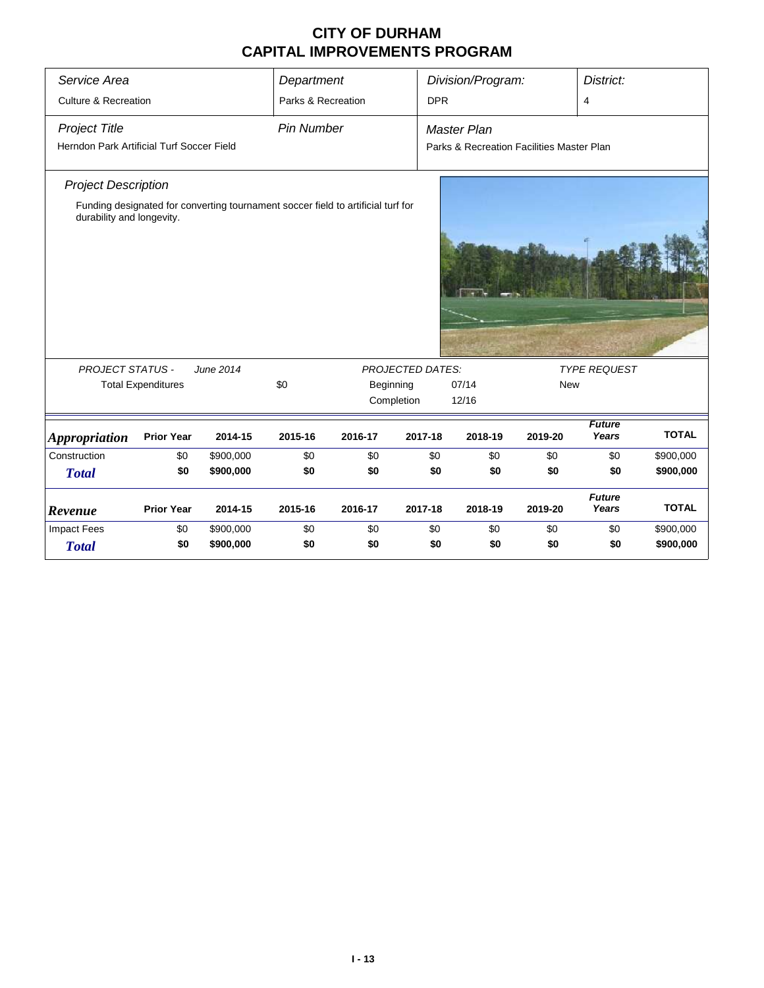| Service Area                              |                           |                                                                                  | Department         |           |                         | Division/Program:                         |            | District:              |              |
|-------------------------------------------|---------------------------|----------------------------------------------------------------------------------|--------------------|-----------|-------------------------|-------------------------------------------|------------|------------------------|--------------|
| <b>Culture &amp; Recreation</b>           |                           |                                                                                  | Parks & Recreation |           | <b>DPR</b>              |                                           |            | 4                      |              |
| <b>Project Title</b>                      |                           |                                                                                  | <b>Pin Number</b>  |           |                         | <b>Master Plan</b>                        |            |                        |              |
| Herndon Park Artificial Turf Soccer Field |                           |                                                                                  |                    |           |                         | Parks & Recreation Facilities Master Plan |            |                        |              |
| <b>Project Description</b>                |                           |                                                                                  |                    |           |                         |                                           |            |                        |              |
| durability and longevity.                 |                           | Funding designated for converting tournament soccer field to artificial turf for |                    |           |                         |                                           |            |                        |              |
|                                           |                           |                                                                                  |                    |           |                         |                                           |            |                        |              |
|                                           |                           |                                                                                  |                    |           |                         |                                           |            |                        |              |
|                                           |                           |                                                                                  |                    |           |                         |                                           |            |                        |              |
|                                           |                           |                                                                                  |                    |           |                         |                                           |            |                        |              |
| <b>PROJECT STATUS -</b>                   |                           | June 2014                                                                        |                    |           | <b>PROJECTED DATES:</b> |                                           |            | <b>TYPE REQUEST</b>    |              |
|                                           | <b>Total Expenditures</b> |                                                                                  | \$0                | Beginning |                         | 07/14                                     | <b>New</b> |                        |              |
|                                           |                           |                                                                                  |                    |           | Completion              | 12/16                                     |            |                        |              |
| <b>Appropriation</b>                      | <b>Prior Year</b>         | 2014-15                                                                          | 2015-16            | 2016-17   | 2017-18                 | 2018-19                                   | 2019-20    | <b>Future</b><br>Years | <b>TOTAL</b> |
| Construction                              | \$0                       | \$900,000                                                                        | \$0                | \$0       | \$0                     | \$0                                       | \$0        | \$0                    | \$900,000    |
| <b>Total</b>                              | \$0                       | \$900,000                                                                        | \$0                | \$0       | \$0                     | \$0                                       | \$0        | \$0                    | \$900,000    |
| Revenue                                   | <b>Prior Year</b>         | 2014-15                                                                          | 2015-16            | 2016-17   | 2017-18                 | 2018-19                                   | 2019-20    | <b>Future</b><br>Years | <b>TOTAL</b> |
| <b>Impact Fees</b>                        | \$0                       | \$900,000                                                                        | \$0                | \$0       | \$0                     | \$0                                       | \$0        | \$0                    | \$900,000    |
| <b>Total</b>                              | \$0                       | \$900,000                                                                        | \$0                | \$0       | \$0                     | \$0                                       | \$0        | \$0                    | \$900,000    |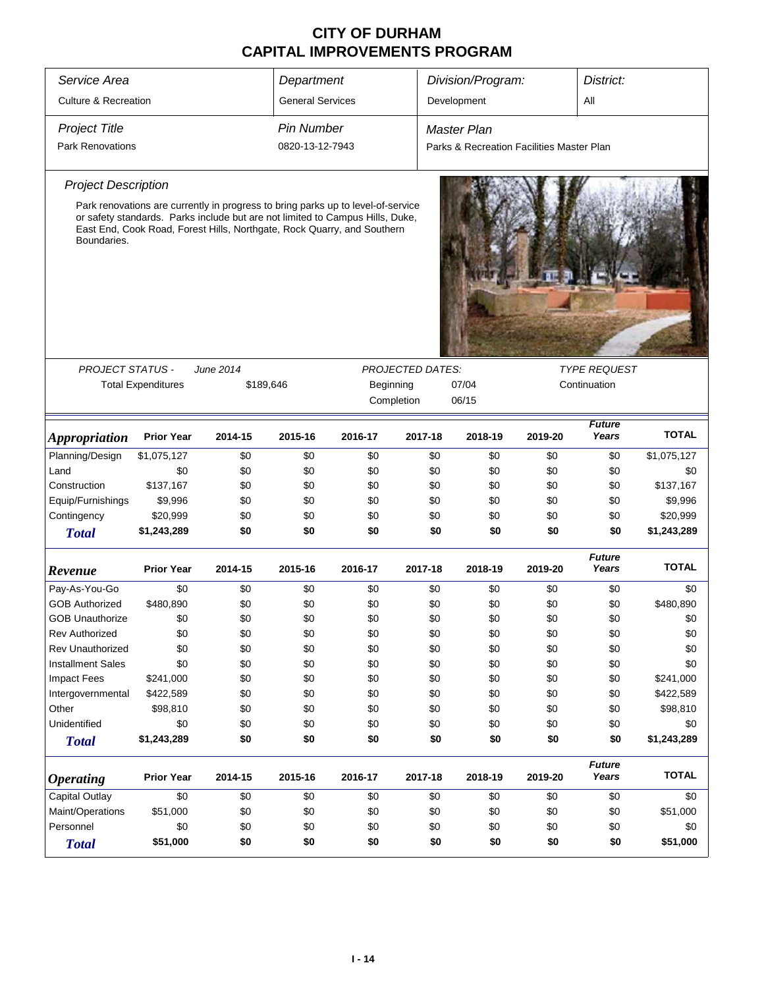| Service Area                    |                           | Department | Division/Program:<br>District: |                                                                                                                                                                                                                                              |                         |                                           |         |                        |              |
|---------------------------------|---------------------------|------------|--------------------------------|----------------------------------------------------------------------------------------------------------------------------------------------------------------------------------------------------------------------------------------------|-------------------------|-------------------------------------------|---------|------------------------|--------------|
| <b>Culture &amp; Recreation</b> |                           |            | <b>General Services</b>        |                                                                                                                                                                                                                                              |                         | Development                               |         | All                    |              |
| <b>Project Title</b>            |                           |            | <b>Pin Number</b>              |                                                                                                                                                                                                                                              |                         | <b>Master Plan</b>                        |         |                        |              |
| <b>Park Renovations</b>         |                           |            | 0820-13-12-7943                |                                                                                                                                                                                                                                              |                         |                                           |         |                        |              |
|                                 |                           |            |                                |                                                                                                                                                                                                                                              |                         | Parks & Recreation Facilities Master Plan |         |                        |              |
| <b>Project Description</b>      |                           |            |                                |                                                                                                                                                                                                                                              |                         |                                           |         |                        |              |
| Boundaries.                     |                           |            |                                | Park renovations are currently in progress to bring parks up to level-of-service<br>or safety standards. Parks include but are not limited to Campus Hills, Duke,<br>East End, Cook Road, Forest Hills, Northgate, Rock Quarry, and Southern |                         |                                           |         |                        |              |
| <b>PROJECT STATUS -</b>         |                           | June 2014  |                                |                                                                                                                                                                                                                                              | <b>PROJECTED DATES:</b> |                                           |         | <b>TYPE REQUEST</b>    |              |
|                                 | <b>Total Expenditures</b> | \$189,646  |                                | Beginning                                                                                                                                                                                                                                    |                         | 07/04                                     |         | Continuation           |              |
|                                 |                           |            |                                | Completion                                                                                                                                                                                                                                   |                         | 06/15                                     |         |                        |              |
|                                 |                           |            |                                |                                                                                                                                                                                                                                              |                         |                                           |         |                        |              |
| <i><b>Appropriation</b></i>     | <b>Prior Year</b>         | 2014-15    | 2015-16                        | 2016-17                                                                                                                                                                                                                                      | 2017-18                 | 2018-19                                   | 2019-20 | <b>Future</b><br>Years | <b>TOTAL</b> |
| Planning/Design                 | \$1,075,127               | \$0        | \$0                            | \$0                                                                                                                                                                                                                                          | \$0                     | \$0                                       | \$0     | \$0                    | \$1,075,127  |
| Land                            | \$0                       | \$0        | \$0                            | \$0                                                                                                                                                                                                                                          | \$0                     | \$0                                       | \$0     | \$0                    | \$0          |
| Construction                    | \$137,167                 | \$0        | \$0                            | \$0                                                                                                                                                                                                                                          | \$0                     | \$0                                       | \$0     | \$0                    | \$137,167    |
| Equip/Furnishings               | \$9,996                   | \$0        | \$0                            | \$0                                                                                                                                                                                                                                          | \$0                     | \$0                                       | \$0     | \$0                    | \$9,996      |
| Contingency                     | \$20,999                  | \$0        | \$0                            | \$0                                                                                                                                                                                                                                          | \$0                     | \$0                                       | \$0     | \$0                    | \$20,999     |
| <b>Total</b>                    | \$1,243,289               | \$0        | \$0                            | \$0                                                                                                                                                                                                                                          | \$0                     | \$0                                       | \$0     | \$0                    | \$1,243,289  |
| Revenue                         | <b>Prior Year</b>         | 2014-15    | 2015-16                        | 2016-17                                                                                                                                                                                                                                      | 2017-18                 | 2018-19                                   | 2019-20 | <b>Future</b><br>Years | <b>TOTAL</b> |
| Pay-As-You-Go                   | \$0                       | \$0        | \$0                            | \$0                                                                                                                                                                                                                                          | \$0                     | \$0                                       | \$0     | \$0                    | \$0          |
| <b>GOB Authorized</b>           | \$480,890                 | \$0        | \$0                            | \$0                                                                                                                                                                                                                                          | \$0                     | \$0                                       | \$0     | \$0                    | \$480,890    |
| <b>GOB Unauthorize</b>          | \$0                       | \$0        | \$0                            | \$0                                                                                                                                                                                                                                          | \$0                     | \$0                                       | \$0     | \$0                    | \$0          |
| <b>Rev Authorized</b>           | \$0                       | \$0        | \$0                            | \$0                                                                                                                                                                                                                                          | \$0                     | \$0                                       | \$0     | \$0                    | \$0          |
| <b>Rev Unauthorized</b>         | \$0                       | \$0        | \$0                            | \$0                                                                                                                                                                                                                                          | \$0                     | \$0                                       | \$0     | \$0                    | \$0          |
| <b>Installment Sales</b>        | \$0                       | \$0        | \$0                            | \$0                                                                                                                                                                                                                                          | \$0                     | \$0                                       | \$0     | \$0                    | \$0          |
| <b>Impact Fees</b>              | \$241,000                 | \$0        | \$0                            | \$0                                                                                                                                                                                                                                          | \$0                     | \$0                                       | \$0     | \$0                    | \$241,000    |
| Intergovernmental               | \$422,589                 | \$0        | \$0                            | \$0                                                                                                                                                                                                                                          | \$0                     | \$0                                       | \$0     | \$0                    | \$422,589    |
| Other                           | \$98,810                  | \$0        | \$0                            | \$0                                                                                                                                                                                                                                          | \$0                     | \$0                                       | \$0     | \$0                    | \$98,810     |
| Unidentified                    | \$0                       | \$0        | \$0                            | \$0                                                                                                                                                                                                                                          | \$0                     | \$0                                       | \$0     | \$0                    | \$0          |
| <b>Total</b>                    | \$1,243,289               | \$0        | \$0                            | \$0                                                                                                                                                                                                                                          | \$0                     | \$0                                       | \$0     | \$0                    | \$1,243,289  |
| <b>Operating</b>                | <b>Prior Year</b>         | 2014-15    | 2015-16                        | 2016-17                                                                                                                                                                                                                                      | 2017-18                 | 2018-19                                   | 2019-20 | <b>Future</b><br>Years | <b>TOTAL</b> |
| Capital Outlay                  | \$0                       | \$0        | \$0                            | \$0                                                                                                                                                                                                                                          | \$0                     | \$0                                       | \$0     | \$0                    | \$0          |
| Maint/Operations                | \$51,000                  | \$0        | \$0                            | \$0                                                                                                                                                                                                                                          | \$0                     | \$0                                       | \$0     | \$0                    | \$51,000     |
| Personnel                       | \$0                       | \$0        | \$0                            | \$0                                                                                                                                                                                                                                          | \$0                     | \$0                                       | \$0     | \$0                    | \$0          |
| <b>Total</b>                    | \$51,000                  | \$0        | \$0                            | \$0                                                                                                                                                                                                                                          | \$0                     | \$0                                       | \$0     | \$0                    | \$51,000     |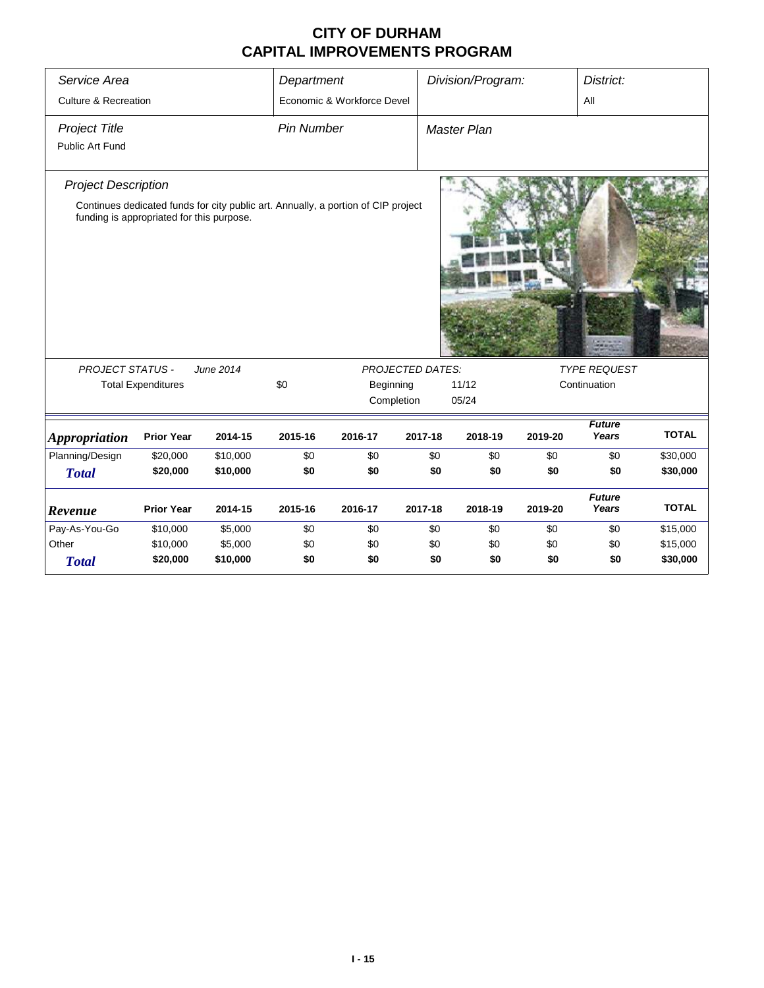| Service Area                            |                                                                                                                                |           | Department        |                            |                         | Division/Program:  |         | District:              |              |
|-----------------------------------------|--------------------------------------------------------------------------------------------------------------------------------|-----------|-------------------|----------------------------|-------------------------|--------------------|---------|------------------------|--------------|
| <b>Culture &amp; Recreation</b>         |                                                                                                                                |           |                   | Economic & Workforce Devel |                         |                    |         | All                    |              |
| <b>Project Title</b><br>Public Art Fund |                                                                                                                                |           | <b>Pin Number</b> |                            |                         | <b>Master Plan</b> |         |                        |              |
| <b>Project Description</b>              | Continues dedicated funds for city public art. Annually, a portion of CIP project<br>funding is appropriated for this purpose. |           |                   |                            |                         |                    |         |                        |              |
| <b>PROJECT STATUS -</b>                 |                                                                                                                                | June 2014 |                   |                            | <b>PROJECTED DATES:</b> |                    |         | <b>TYPE REQUEST</b>    |              |
|                                         | <b>Total Expenditures</b>                                                                                                      |           | \$0               | Beginning                  |                         | 11/12              |         | Continuation           |              |
|                                         |                                                                                                                                |           |                   |                            | Completion              | 05/24              |         |                        |              |
| <b>Appropriation</b>                    | <b>Prior Year</b>                                                                                                              | 2014-15   | 2015-16           | 2016-17                    | 2017-18                 | 2018-19            | 2019-20 | <b>Future</b><br>Years | <b>TOTAL</b> |
| Planning/Design                         | \$20,000                                                                                                                       | \$10,000  | \$0               | \$0                        | \$0                     | \$0                | \$0     | \$0                    | \$30,000     |
| <b>Total</b>                            | \$20,000                                                                                                                       | \$10,000  | \$0               | \$0                        | \$0                     | \$0                | \$0     | \$0                    | \$30,000     |
| Revenue                                 | <b>Prior Year</b>                                                                                                              | 2014-15   | 2015-16           | 2016-17                    | 2017-18                 | 2018-19            | 2019-20 | <b>Future</b><br>Years | <b>TOTAL</b> |
| Pay-As-You-Go                           | \$10,000                                                                                                                       | \$5,000   | \$0               | \$0                        | \$0                     | \$0                | \$0     | \$0                    | \$15,000     |
| Other                                   | \$10,000                                                                                                                       | \$5,000   | \$0               | \$0                        | \$0                     | \$0                | \$0     | \$0                    | \$15,000     |
| <b>Total</b>                            | \$20,000                                                                                                                       | \$10,000  | \$0               | \$0                        | \$0                     | \$0                | \$0     | \$0                    | \$30,000     |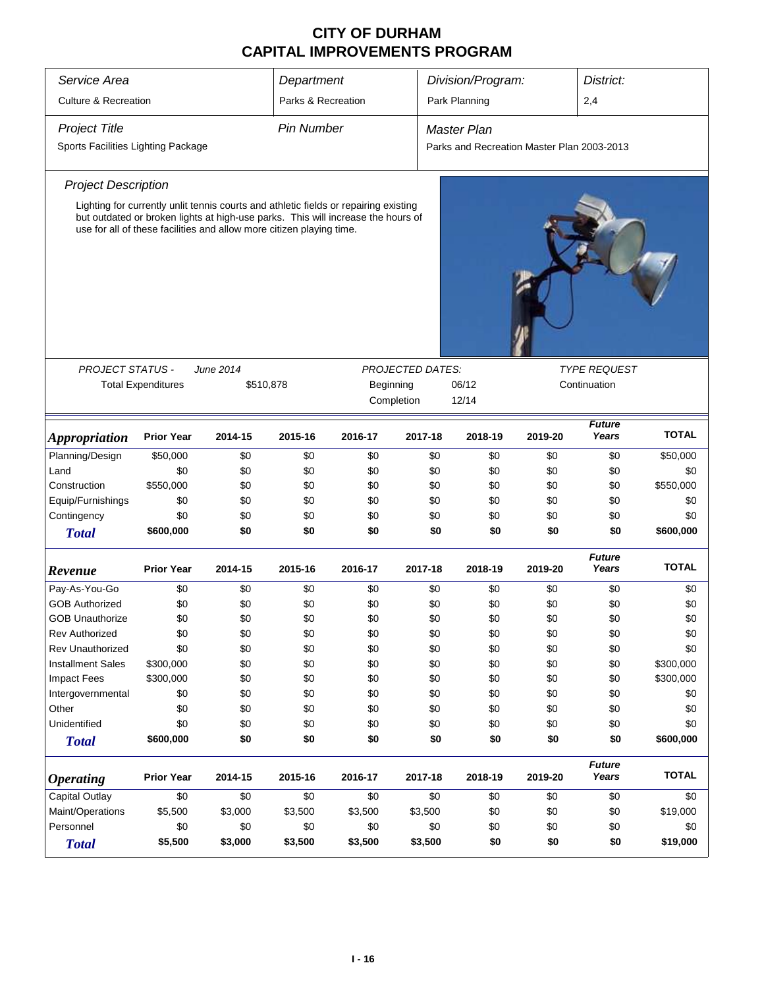| Service Area                          |                                                                                                                                                          |           | Department                                    |         | Division/Program:<br>District: |                                            |         |                        |              |  |  |  |
|---------------------------------------|----------------------------------------------------------------------------------------------------------------------------------------------------------|-----------|-----------------------------------------------|---------|--------------------------------|--------------------------------------------|---------|------------------------|--------------|--|--|--|
| <b>Culture &amp; Recreation</b>       |                                                                                                                                                          |           | Parks & Recreation                            |         |                                | Park Planning                              |         | 2,4                    |              |  |  |  |
|                                       |                                                                                                                                                          |           |                                               |         |                                |                                            |         |                        |              |  |  |  |
| <b>Project Title</b>                  |                                                                                                                                                          |           | <b>Pin Number</b>                             |         |                                | <b>Master Plan</b>                         |         |                        |              |  |  |  |
| Sports Facilities Lighting Package    |                                                                                                                                                          |           |                                               |         |                                | Parks and Recreation Master Plan 2003-2013 |         |                        |              |  |  |  |
| <b>Project Description</b>            |                                                                                                                                                          |           |                                               |         |                                |                                            |         |                        |              |  |  |  |
|                                       | Lighting for currently unlit tennis courts and athletic fields or repairing existing                                                                     |           |                                               |         |                                |                                            |         |                        |              |  |  |  |
|                                       | but outdated or broken lights at high-use parks. This will increase the hours of<br>use for all of these facilities and allow more citizen playing time. |           |                                               |         |                                |                                            |         |                        |              |  |  |  |
|                                       |                                                                                                                                                          |           |                                               |         |                                |                                            |         |                        |              |  |  |  |
| <b>PROJECT STATUS -</b>               |                                                                                                                                                          | June 2014 |                                               |         | <b>PROJECTED DATES:</b>        |                                            |         | <b>TYPE REQUEST</b>    |              |  |  |  |
|                                       | <b>Total Expenditures</b>                                                                                                                                |           | \$510,878<br>06/12<br>Beginning<br>Completion |         |                                |                                            |         | Continuation           |              |  |  |  |
|                                       |                                                                                                                                                          |           |                                               |         |                                | 12/14                                      |         |                        |              |  |  |  |
| <i><b>Appropriation</b></i>           | <b>Prior Year</b>                                                                                                                                        | 2014-15   | 2015-16                                       | 2016-17 | 2017-18                        | 2018-19                                    | 2019-20 | <b>Future</b><br>Years | <b>TOTAL</b> |  |  |  |
| Planning/Design                       | \$50,000                                                                                                                                                 | \$0       | \$0                                           | \$0     | \$0                            | \$0                                        | \$0     | \$0                    | \$50,000     |  |  |  |
| Land                                  | \$0                                                                                                                                                      | \$0       | \$0                                           | \$0     | \$0                            | \$0                                        | \$0     | \$0                    | \$0          |  |  |  |
| Construction                          | \$550,000                                                                                                                                                | \$0       | \$0                                           | \$0     | \$0                            | \$0                                        | \$0     | \$0                    | \$550,000    |  |  |  |
| Equip/Furnishings                     | \$0                                                                                                                                                      | \$0       | \$0                                           | \$0     | \$0                            | \$0                                        | \$0     | \$0                    | \$0          |  |  |  |
| Contingency                           | \$0                                                                                                                                                      | \$0       | \$0                                           | \$0     | \$0                            | \$0                                        | \$0     | \$0                    | \$0          |  |  |  |
| <b>Total</b>                          | \$600,000                                                                                                                                                | \$0       | \$0                                           | \$0     | \$0                            | \$0                                        | \$0     | \$0                    | \$600,000    |  |  |  |
| Revenue                               | <b>Prior Year</b>                                                                                                                                        | 2014-15   | 2015-16                                       | 2016-17 | 2017-18                        | 2018-19                                    | 2019-20 | <b>Future</b><br>Years | <b>TOTAL</b> |  |  |  |
| Pay-As-You-Go                         | \$0                                                                                                                                                      | \$0       | \$0                                           | \$0     | \$0                            | \$0                                        | \$0     | \$0                    | \$0          |  |  |  |
| <b>GOB Authorized</b>                 | \$0                                                                                                                                                      | \$0       | \$0                                           | \$0     | \$0                            | \$0                                        | \$0     | \$0                    | \$0          |  |  |  |
| <b>GOB Unauthorize</b>                | \$0                                                                                                                                                      | \$0       | \$0                                           | \$0     | \$0                            | \$0                                        | \$0     | \$0                    | \$0          |  |  |  |
| <b>Rev Authorized</b>                 | \$0                                                                                                                                                      | \$0       | \$0                                           | \$0     | \$0                            | \$0                                        | \$0     | \$0                    | \$0          |  |  |  |
| Rev Unauthorized                      | \$0                                                                                                                                                      | \$0       | \$0                                           | \$0     | \$0                            | \$0                                        | \$0     | \$0                    | \$0          |  |  |  |
| <b>Installment Sales</b>              | \$300,000                                                                                                                                                | \$0       | \$0                                           | \$0     | \$0                            | \$0                                        | \$0     | \$0                    | \$300,000    |  |  |  |
| <b>Impact Fees</b>                    | \$300,000                                                                                                                                                | \$0       | \$0                                           | \$0     | \$0                            | \$0                                        | \$0     | \$0                    | \$300,000    |  |  |  |
| Intergovernmental                     | \$0                                                                                                                                                      | \$0       | \$0                                           | \$0     | \$0                            | \$0                                        | \$0     | \$0                    | \$0          |  |  |  |
| Other                                 | \$0                                                                                                                                                      | \$0       | \$0                                           | \$0     | \$0                            | \$0                                        | \$0     | \$0                    | \$0          |  |  |  |
| Unidentified                          | \$0                                                                                                                                                      | \$0       | \$0                                           | \$0     | \$0                            | \$0                                        | \$0     | \$0                    | \$0          |  |  |  |
| <b>Total</b>                          | \$600,000                                                                                                                                                | \$0       | \$0                                           | \$0     | \$0                            | \$0                                        | \$0     | \$0                    | \$600,000    |  |  |  |
| <b>Operating</b>                      | <b>Prior Year</b>                                                                                                                                        | 2014-15   | 2015-16                                       | 2016-17 | 2017-18                        | 2018-19                                    | 2019-20 | <b>Future</b><br>Years | <b>TOTAL</b> |  |  |  |
| <b>Capital Outlay</b>                 | \$0                                                                                                                                                      | \$0       | \$0                                           | \$0     | \$0                            | \$0                                        | \$0     | \$0                    | \$0          |  |  |  |
| Maint/Operations                      | \$3,500<br>\$5,500<br>\$3,000<br>\$3,500                                                                                                                 |           |                                               |         | \$3,500                        | \$0                                        | \$0     | \$0                    | \$19,000     |  |  |  |
| \$0<br>\$0<br>Personnel<br>\$0<br>\$0 |                                                                                                                                                          |           |                                               |         | \$0                            | \$0                                        | \$0     | \$0                    | \$0          |  |  |  |
| <b>Total</b>                          | \$5,500                                                                                                                                                  | \$3,000   | \$3,500                                       | \$3,500 | \$3,500                        | \$0                                        | \$0     | \$0                    | \$19,000     |  |  |  |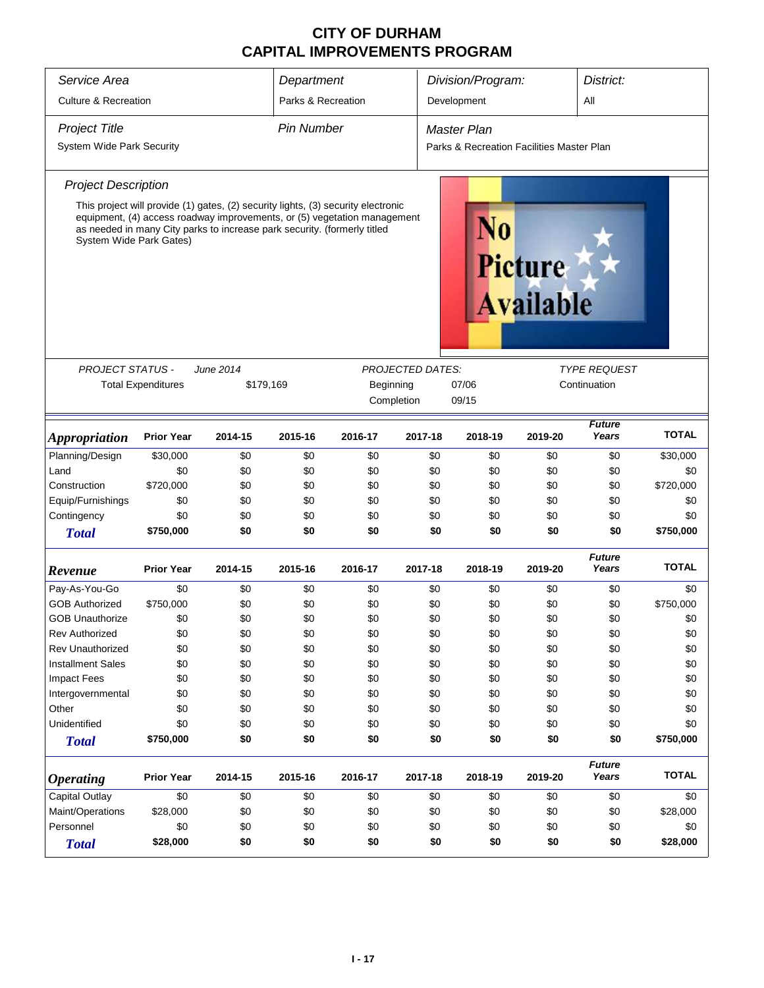| Service Area                    |                           |                                                                          | Department         |                                                                                                                                                               |                         | Division/Program:                         |                                    | District:              |                 |
|---------------------------------|---------------------------|--------------------------------------------------------------------------|--------------------|---------------------------------------------------------------------------------------------------------------------------------------------------------------|-------------------------|-------------------------------------------|------------------------------------|------------------------|-----------------|
| <b>Culture &amp; Recreation</b> |                           |                                                                          | Parks & Recreation |                                                                                                                                                               |                         | Development                               |                                    | All                    |                 |
| <b>Project Title</b>            |                           |                                                                          | <b>Pin Number</b>  |                                                                                                                                                               |                         | <b>Master Plan</b>                        |                                    |                        |                 |
| System Wide Park Security       |                           |                                                                          |                    |                                                                                                                                                               |                         | Parks & Recreation Facilities Master Plan |                                    |                        |                 |
| <b>Project Description</b>      |                           |                                                                          |                    |                                                                                                                                                               |                         |                                           |                                    |                        |                 |
| System Wide Park Gates)         |                           | as needed in many City parks to increase park security. (formerly titled |                    | This project will provide (1) gates, (2) security lights, (3) security electronic<br>equipment, (4) access roadway improvements, or (5) vegetation management |                         | N0                                        | <b>Picture</b><br><b>Available</b> |                        |                 |
|                                 |                           |                                                                          |                    |                                                                                                                                                               |                         |                                           |                                    |                        |                 |
| <b>PROJECT STATUS -</b>         |                           | June 2014                                                                |                    |                                                                                                                                                               | <b>PROJECTED DATES:</b> |                                           |                                    | <i>TYPE REQUEST</i>    |                 |
|                                 | <b>Total Expenditures</b> | \$179,169                                                                |                    | Beginning                                                                                                                                                     | 07/06                   |                                           | Continuation                       |                        |                 |
|                                 |                           |                                                                          |                    | Completion                                                                                                                                                    |                         | 09/15                                     |                                    |                        |                 |
| <b>Appropriation</b>            | <b>Prior Year</b>         | 2014-15                                                                  | 2015-16            | 2016-17                                                                                                                                                       | 2017-18                 | 2018-19                                   | 2019-20                            | Future<br>Years        | <b>TOTAL</b>    |
| Planning/Design                 | \$30,000                  | \$0                                                                      | \$0                | \$0                                                                                                                                                           | \$0                     | \$0                                       | \$0                                | \$0                    | \$30,000        |
| Land                            | \$0                       | \$0                                                                      | \$0                | \$0                                                                                                                                                           | \$0                     | \$0                                       | \$0                                | \$0                    | \$0             |
| Construction                    | \$720,000                 | \$0                                                                      | \$0                | \$0                                                                                                                                                           | \$0                     | \$0                                       | \$0                                | \$0                    | \$720,000       |
| Equip/Furnishings               | \$0                       | \$0                                                                      | \$0                | \$0                                                                                                                                                           | \$0                     | \$0                                       | \$0                                | \$0                    | \$0             |
| Contingency                     | \$0                       | \$0                                                                      | \$0                | \$0                                                                                                                                                           | \$0                     | \$0                                       | \$0                                | \$0                    | \$0             |
| <b>Total</b>                    | \$750,000                 | \$0                                                                      | \$0                | \$0                                                                                                                                                           | \$0                     | \$0                                       | \$0                                | \$0                    | \$750,000       |
| Revenue                         | <b>Prior Year</b>         | 2014-15                                                                  | 2015-16            | 2016-17                                                                                                                                                       | 2017-18                 | 2018-19                                   | 2019-20                            | <b>Future</b><br>Years | <b>TOTAL</b>    |
| Pay-As-You-Go                   | \$0                       | \$0                                                                      | \$0                | \$0                                                                                                                                                           | \$0                     | \$0                                       | \$0                                | \$0                    | \$0             |
| <b>GOB Authorized</b>           | \$750,000                 | \$0                                                                      | \$0                | \$0                                                                                                                                                           | \$0                     | \$0                                       | \$0                                | \$0                    | \$750,000       |
| <b>GOB Unauthorize</b>          | \$0                       | \$0                                                                      | \$0                | \$0                                                                                                                                                           | \$0                     | \$0                                       | \$0                                | \$0                    | \$0             |
| <b>Rev Authorized</b>           | \$0                       | \$0                                                                      | \$0                | \$0                                                                                                                                                           | \$0                     | \$0                                       | \$0                                | \$0                    | \$0             |
| <b>Rev Unauthorized</b>         | \$0                       | \$0                                                                      | \$0                | \$0                                                                                                                                                           | \$0                     | \$0                                       | \$0                                | \$0                    | \$0             |
| <b>Installment Sales</b>        | \$0                       | \$0                                                                      | \$0                | \$0                                                                                                                                                           | \$0                     | \$0                                       | \$0                                | \$0                    | \$0             |
| <b>Impact Fees</b>              | \$0                       | \$0                                                                      | \$0                | \$0                                                                                                                                                           | \$0                     | \$0                                       | \$0                                | \$0                    | \$0             |
| Intergovernmental               | \$0                       | \$0                                                                      | \$0                | \$0                                                                                                                                                           | \$0                     | \$0                                       | \$0                                | \$0                    | \$0             |
| Other                           | \$0                       | \$0                                                                      | \$0                | \$0                                                                                                                                                           | \$0                     | \$0                                       | \$0                                | \$0                    | \$0             |
| Unidentified                    | \$0                       | \$0                                                                      | \$0                | \$0                                                                                                                                                           | \$0                     | \$0                                       | \$0                                | \$0                    | \$0             |
| <b>Total</b>                    | \$750,000                 | \$0                                                                      | \$0                | \$0                                                                                                                                                           | \$0                     | \$0                                       | \$0                                | \$0                    | \$750,000       |
| <b>Operating</b>                | <b>Prior Year</b>         | 2014-15                                                                  | 2015-16            | 2016-17                                                                                                                                                       | 2017-18                 | 2018-19                                   | 2019-20                            | <b>Future</b><br>Years | <b>TOTAL</b>    |
| Capital Outlay                  |                           |                                                                          | \$0                | \$0                                                                                                                                                           | \$0                     | \$0                                       | \$0                                | \$0                    | \$0             |
|                                 | \$0                       |                                                                          |                    |                                                                                                                                                               |                         |                                           |                                    |                        |                 |
|                                 |                           | \$0                                                                      |                    | \$0                                                                                                                                                           |                         |                                           |                                    | \$0                    |                 |
| Maint/Operations<br>Personnel   | \$28,000<br>\$0           | \$0<br>\$0                                                               | \$0<br>\$0         | \$0                                                                                                                                                           | \$0<br>\$0              | \$0<br>\$0                                | \$0<br>\$0                         | \$0                    | \$28,000<br>\$0 |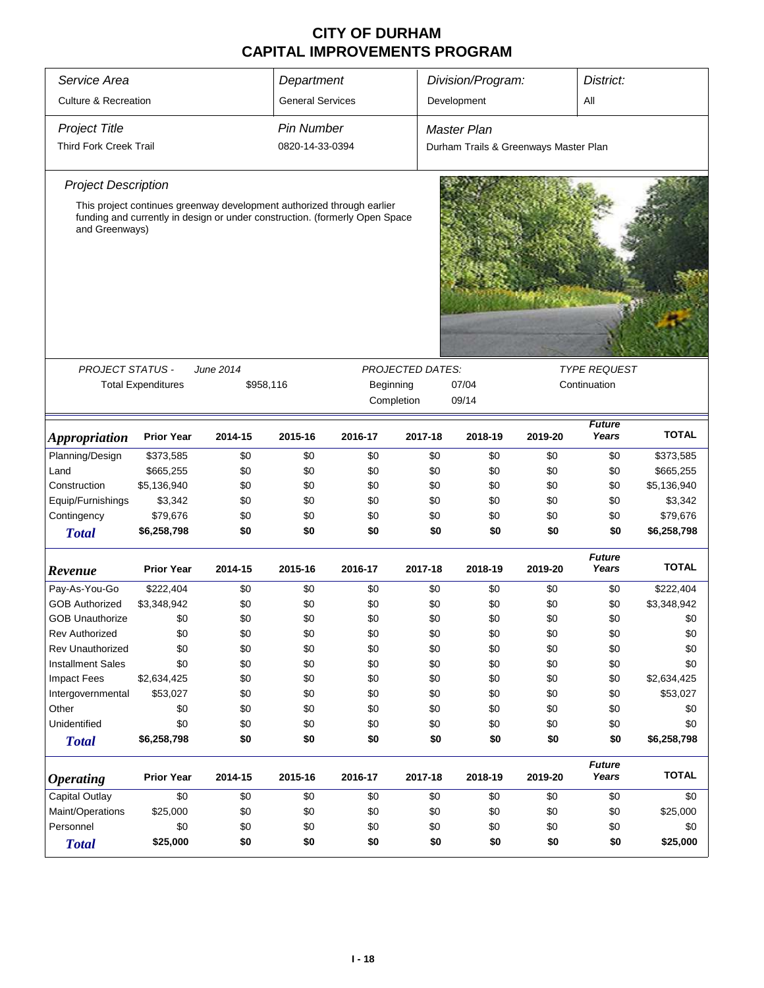| Service Area                    |                           | Department       |                         |                                                                                                                                                       |                         | Division/Program:                     |         | District:              |              |  |
|---------------------------------|---------------------------|------------------|-------------------------|-------------------------------------------------------------------------------------------------------------------------------------------------------|-------------------------|---------------------------------------|---------|------------------------|--------------|--|
| <b>Culture &amp; Recreation</b> |                           |                  | <b>General Services</b> |                                                                                                                                                       |                         | Development                           |         | All                    |              |  |
| <b>Project Title</b>            |                           |                  | <b>Pin Number</b>       |                                                                                                                                                       |                         | Master Plan                           |         |                        |              |  |
| <b>Third Fork Creek Trail</b>   |                           |                  | 0820-14-33-0394         |                                                                                                                                                       |                         | Durham Trails & Greenways Master Plan |         |                        |              |  |
|                                 |                           |                  |                         |                                                                                                                                                       |                         |                                       |         |                        |              |  |
| <b>Project Description</b>      |                           |                  |                         |                                                                                                                                                       |                         |                                       |         |                        |              |  |
| and Greenways)                  |                           |                  |                         | This project continues greenway development authorized through earlier<br>funding and currently in design or under construction. (formerly Open Space |                         |                                       |         |                        |              |  |
|                                 |                           |                  |                         |                                                                                                                                                       |                         |                                       |         |                        |              |  |
| <b>PROJECT STATUS -</b>         |                           | <b>June 2014</b> |                         |                                                                                                                                                       | <b>PROJECTED DATES:</b> |                                       |         | <b>TYPE REQUEST</b>    |              |  |
|                                 | <b>Total Expenditures</b> | \$958,116        |                         | Beginning                                                                                                                                             |                         | 07/04                                 |         | Continuation           |              |  |
|                                 |                           |                  |                         | Completion                                                                                                                                            |                         | 09/14                                 |         |                        |              |  |
|                                 |                           |                  |                         |                                                                                                                                                       |                         |                                       |         | <b>Future</b>          |              |  |
| <i><b>Appropriation</b></i>     | <b>Prior Year</b>         | 2014-15          | 2015-16                 | 2016-17                                                                                                                                               | 2017-18                 | 2018-19                               | 2019-20 | Years                  | <b>TOTAL</b> |  |
| Planning/Design                 | \$373,585                 | \$0              | \$0                     | \$0                                                                                                                                                   | \$0                     | \$0                                   | \$0     | \$0                    | \$373,585    |  |
| Land                            | \$665,255                 | \$0              | \$0                     | \$0                                                                                                                                                   | \$0                     | \$0                                   | \$0     | \$0                    | \$665,255    |  |
| Construction                    | \$5,136,940               | \$0              | \$0                     | \$0                                                                                                                                                   | \$0                     | \$0                                   | \$0     | \$0                    | \$5,136,940  |  |
| Equip/Furnishings               | \$3,342                   | \$0              | \$0                     | \$0                                                                                                                                                   | \$0                     | \$0                                   | \$0     | \$0                    | \$3,342      |  |
| Contingency                     | \$79,676                  | \$0              | \$0                     | \$0                                                                                                                                                   | \$0                     | \$0                                   | \$0     | \$0                    | \$79,676     |  |
| <b>Total</b>                    | \$6,258,798               | \$0              | \$0                     | \$0                                                                                                                                                   | \$0                     | \$0                                   | \$0     | \$0                    | \$6,258,798  |  |
| Revenue                         | <b>Prior Year</b>         | 2014-15          | 2015-16                 | 2016-17                                                                                                                                               | 2017-18                 | 2018-19                               | 2019-20 | <b>Future</b><br>Years | <b>TOTAL</b> |  |
| Pay-As-You-Go                   | \$222,404                 | \$0              | \$0                     | \$0                                                                                                                                                   | \$0                     | \$0                                   | \$0     | \$0                    | \$222,404    |  |
| <b>GOB Authorized</b>           | \$3,348,942               | \$0              | \$0                     | \$0                                                                                                                                                   | \$0                     | \$0                                   | \$0     | \$0                    | \$3,348,942  |  |
| <b>GOB Unauthorize</b>          | \$0                       | \$0              | \$0                     | \$0                                                                                                                                                   | \$0                     | \$0                                   | \$0     | \$0                    | \$0          |  |
| <b>Rev Authorized</b>           | \$0                       | \$0              | \$0                     | \$0                                                                                                                                                   | \$0                     | \$0                                   | \$0     | \$0                    | \$0          |  |
| <b>Rev Unauthorized</b>         | \$0                       | \$0              | \$0                     | \$0                                                                                                                                                   | \$0                     | \$0                                   | \$0     | \$0                    | \$0          |  |
| <b>Installment Sales</b>        | \$0                       | \$0              | \$0                     | \$0                                                                                                                                                   | \$0                     | \$0                                   | \$0     | \$0                    | \$0          |  |
| <b>Impact Fees</b>              | \$2,634,425               | \$0              | \$0                     | \$0                                                                                                                                                   | \$0                     | \$0                                   | \$0     | \$0                    | \$2,634,425  |  |
| Intergovernmental               | \$53,027                  | \$0              | \$0                     | \$0                                                                                                                                                   | \$0                     | \$0                                   | \$0     | \$0                    | \$53,027     |  |
| Other                           | \$0                       | \$0              | \$0                     | \$0                                                                                                                                                   | \$0                     | \$0                                   | \$0     | \$0                    | \$0          |  |
| Unidentified                    | \$0                       | \$0              | \$0                     | \$0                                                                                                                                                   | \$0                     | \$0                                   | \$0     | \$0                    | \$0          |  |
|                                 | \$6,258,798               | \$0              | \$0                     | \$0                                                                                                                                                   | \$0                     | \$0                                   | \$0     | \$0                    | \$6,258,798  |  |
| <b>Total</b>                    |                           |                  |                         |                                                                                                                                                       |                         |                                       |         |                        |              |  |
| <b>Operating</b>                | <b>Prior Year</b>         | 2014-15          | 2015-16                 | 2016-17                                                                                                                                               | 2017-18                 | 2018-19                               | 2019-20 | <b>Future</b><br>Years | <b>TOTAL</b> |  |
| Capital Outlay                  | \$0                       | \$0              | \$0                     | \$0                                                                                                                                                   | \$0                     | \$0                                   | \$0     | \$0                    | \$0          |  |
| Maint/Operations                | \$25,000                  | \$0              | \$0                     | \$0                                                                                                                                                   | \$0                     | \$0                                   | \$0     | \$0                    | \$25,000     |  |
| Personnel                       | \$0                       | \$0              | \$0                     | \$0                                                                                                                                                   | \$0                     | \$0                                   | \$0     | \$0                    | \$0          |  |
| <b>Total</b>                    | \$25,000                  | \$0              | \$0                     | \$0                                                                                                                                                   | \$0                     | \$0                                   | \$0     | \$0                    | \$25,000     |  |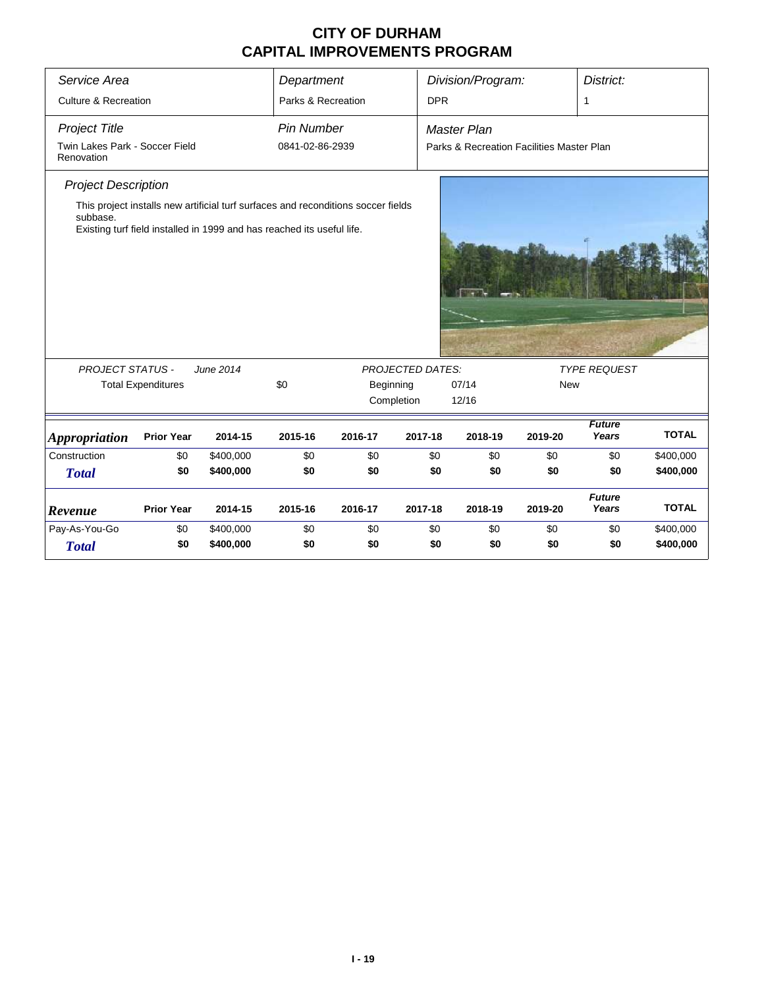| Service Area                                 |                           |                                                                                   | Department         |           |                         | Division/Program:                         |            | District:              |              |
|----------------------------------------------|---------------------------|-----------------------------------------------------------------------------------|--------------------|-----------|-------------------------|-------------------------------------------|------------|------------------------|--------------|
| <b>Culture &amp; Recreation</b>              |                           |                                                                                   | Parks & Recreation |           | <b>DPR</b>              |                                           |            |                        |              |
|                                              |                           |                                                                                   |                    |           |                         |                                           |            | $\mathbf{1}$           |              |
| <b>Project Title</b>                         |                           |                                                                                   | <b>Pin Number</b>  |           |                         | <b>Master Plan</b>                        |            |                        |              |
| Twin Lakes Park - Soccer Field<br>Renovation |                           |                                                                                   | 0841-02-86-2939    |           |                         | Parks & Recreation Facilities Master Plan |            |                        |              |
| <b>Project Description</b>                   |                           | This project installs new artificial turf surfaces and reconditions soccer fields |                    |           |                         |                                           |            |                        |              |
| subbase.                                     |                           | Existing turf field installed in 1999 and has reached its useful life.            |                    |           |                         |                                           |            |                        |              |
| <b>PROJECT STATUS -</b>                      |                           | June 2014                                                                         |                    |           | <b>PROJECTED DATES:</b> |                                           |            | <b>TYPE REQUEST</b>    |              |
|                                              | <b>Total Expenditures</b> |                                                                                   | \$0                | Beginning |                         | 07/14                                     | <b>New</b> |                        |              |
|                                              |                           |                                                                                   |                    |           | Completion              | 12/16                                     |            |                        |              |
| <b>Appropriation</b>                         | <b>Prior Year</b>         | 2014-15                                                                           | 2015-16            | 2016-17   | 2017-18                 | 2018-19                                   | 2019-20    | <b>Future</b><br>Years | <b>TOTAL</b> |
| Construction                                 | \$0                       | \$400,000                                                                         | \$0                | \$0       | \$0                     | \$0                                       | \$0        | \$0                    | \$400,000    |
| <b>Total</b>                                 | \$0                       | \$400,000                                                                         | \$0                | \$0       | \$0                     | \$0                                       | \$0        | \$0                    | \$400,000    |
| Revenue                                      | <b>Prior Year</b>         | 2014-15                                                                           | 2015-16            | 2016-17   | 2017-18                 | 2018-19                                   | 2019-20    | <b>Future</b><br>Years | <b>TOTAL</b> |
|                                              |                           |                                                                                   |                    |           |                         |                                           |            |                        |              |
| Pay-As-You-Go                                | \$0                       | \$400,000                                                                         | \$0                | \$0       | \$0                     | \$0                                       | \$0        | \$0                    | \$400,000    |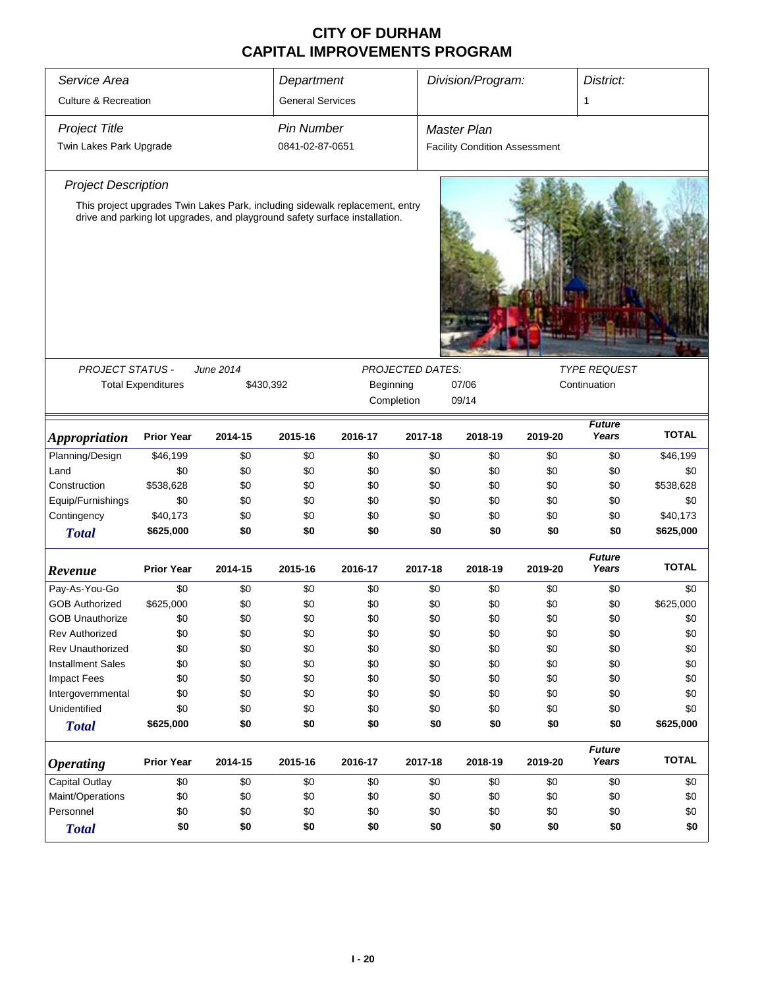| Service Area                    |                           |                                                                                                                                                             | Department              |            |                  | Division/Program:                    |         | District:              |              |
|---------------------------------|---------------------------|-------------------------------------------------------------------------------------------------------------------------------------------------------------|-------------------------|------------|------------------|--------------------------------------|---------|------------------------|--------------|
| <b>Culture &amp; Recreation</b> |                           |                                                                                                                                                             | <b>General Services</b> |            |                  |                                      |         | 1                      |              |
| <b>Project Title</b>            |                           |                                                                                                                                                             | <b>Pin Number</b>       |            |                  | Master Plan                          |         |                        |              |
| Twin Lakes Park Upgrade         |                           |                                                                                                                                                             | 0841-02-87-0651         |            |                  | <b>Facility Condition Assessment</b> |         |                        |              |
| <b>Project Description</b>      |                           |                                                                                                                                                             |                         |            |                  |                                      |         |                        |              |
|                                 |                           | This project upgrades Twin Lakes Park, including sidewalk replacement, entry<br>drive and parking lot upgrades, and playground safety surface installation. |                         |            |                  |                                      |         |                        |              |
| <b>PROJECT STATUS -</b>         |                           | June 2014                                                                                                                                                   |                         |            | PROJECTED DATES: |                                      |         | <b>TYPE REQUEST</b>    |              |
|                                 | <b>Total Expenditures</b> | \$430,392                                                                                                                                                   |                         | Beginning  |                  | 07/06                                |         | Continuation           |              |
|                                 |                           |                                                                                                                                                             |                         | Completion |                  | 09/14                                |         |                        |              |
| Appropriation                   | <b>Prior Year</b>         | 2014-15                                                                                                                                                     | 2015-16                 | 2016-17    | 2017-18          | 2018-19                              | 2019-20 | <b>Future</b><br>Years | <b>TOTAL</b> |
| Planning/Design                 | \$46,199                  | \$0                                                                                                                                                         | \$0                     | \$0        | \$0              | \$0                                  | \$0     | \$0                    | \$46,199     |
| Land                            | \$0                       | \$0                                                                                                                                                         | \$0                     | \$0        | \$0              | \$0                                  | \$0     | \$0                    | \$0          |
| Construction                    | \$538,628                 | \$0                                                                                                                                                         | \$0                     | \$0        | \$0              | \$0                                  | \$0     | \$0                    | \$538,628    |
| Equip/Furnishings               | \$0                       | \$0                                                                                                                                                         | \$0                     | \$0        | \$0              | \$0                                  | \$0     | \$0                    | \$0          |
| Contingency                     | \$40,173                  | \$0                                                                                                                                                         | \$0                     | \$0        | \$0              | \$0                                  | \$0     | \$0                    | \$40,173     |
| <b>Total</b>                    | \$625,000                 | \$0                                                                                                                                                         | \$0                     | \$0        | \$0              | \$0                                  | \$0     | \$0                    | \$625,000    |
| Revenue                         | <b>Prior Year</b>         | 2014-15                                                                                                                                                     | 2015-16                 | 2016-17    | 2017-18          | 2018-19                              | 2019-20 | <b>Future</b><br>Years | <b>TOTAL</b> |
| Pay-As-You-Go                   | \$0                       | \$0                                                                                                                                                         | \$0                     | \$0        | \$0              | \$0                                  | \$0     | \$0                    | \$0          |
| <b>GOB Authorized</b>           | \$625,000                 | \$0                                                                                                                                                         | \$0                     | \$0        | \$0              | \$0                                  | \$0     | \$0                    | \$625,000    |
| <b>GOB Unauthorize</b>          | \$0                       | \$0                                                                                                                                                         | \$0                     | \$0        | \$0              | \$0                                  | \$0     | \$0                    | \$0          |
| <b>Rev Authorized</b>           | \$0                       | \$0                                                                                                                                                         | \$0                     | \$0        | \$0              | \$0                                  | \$0     | \$0                    | \$0          |
| <b>Rev Unauthorized</b>         | \$0                       | \$0                                                                                                                                                         | \$0                     | \$0        | \$0              | \$0                                  | \$0     | \$0                    | \$0          |
| <b>Installment Sales</b>        | \$0                       | \$0                                                                                                                                                         | \$0                     | \$0        | \$0              | \$0                                  | \$0     | \$0                    | \$0          |
| <b>Impact Fees</b>              | \$0                       | \$0                                                                                                                                                         | \$0                     | \$0        | \$0              | \$0                                  | \$0     | \$0                    | \$0          |
| Intergovernmental               | \$0                       | \$0                                                                                                                                                         | \$0                     | \$0        | \$0              | \$0                                  | \$0     | \$0                    | \$0          |
| Unidentified                    | \$0                       | \$0                                                                                                                                                         | \$0                     | \$0        | \$0              | \$0                                  | \$0     | \$0                    | \$0          |
| <b>Total</b>                    | \$625,000                 | \$0                                                                                                                                                         | \$0                     | \$0        | \$0              | \$0                                  | \$0     | \$0                    | \$625,000    |
| <b>Operating</b>                | <b>Prior Year</b>         | 2014-15                                                                                                                                                     | 2015-16                 | 2016-17    | 2017-18          | 2018-19                              | 2019-20 | <b>Future</b><br>Years | <b>TOTAL</b> |
| <b>Capital Outlay</b>           | \$0                       | \$0                                                                                                                                                         | \$0                     | \$0        | \$0              | \$0                                  | \$0     | \$0                    | \$0          |
| Maint/Operations                | \$0                       | \$0                                                                                                                                                         | \$0                     | \$0        | \$0              | \$0                                  | \$0     | \$0                    | \$0          |
| Personnel                       | \$0                       | \$0                                                                                                                                                         | \$0                     | \$0        | \$0              | \$0                                  | \$0     | \$0                    | \$0          |
| <b>Total</b>                    | \$0                       | \$0                                                                                                                                                         | \$0                     | \$0        | \$0              | \$0                                  | \$0     | \$0                    | \$0          |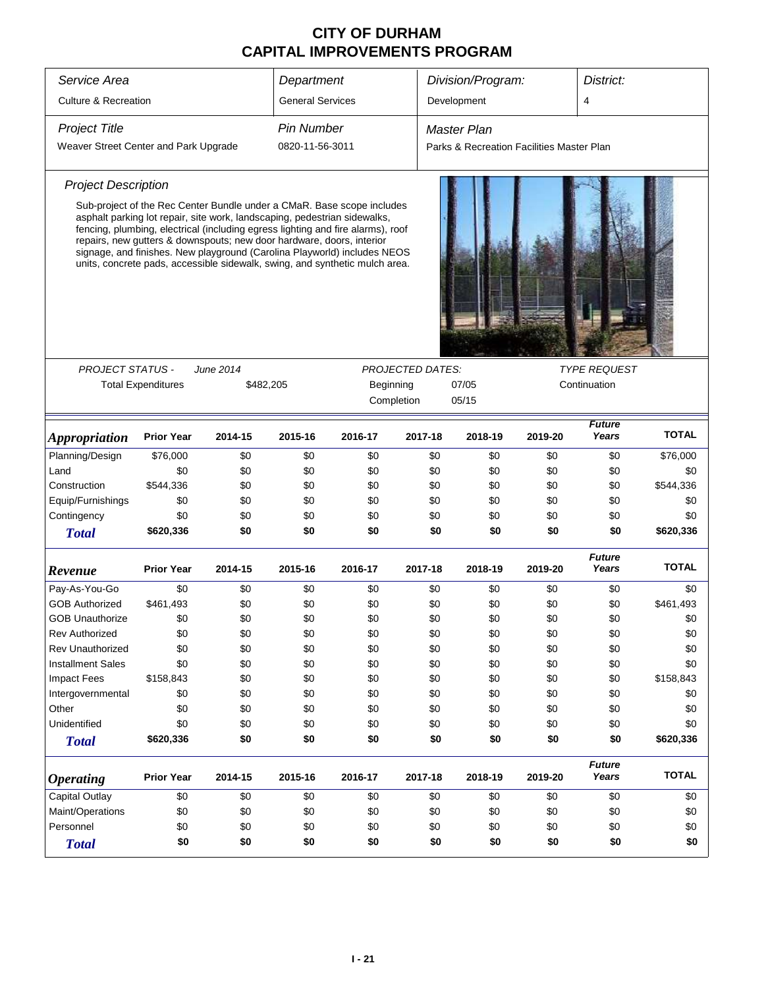| Service Area                                 |                           |                                                                                                                                                    | Department              |                                                                                                                                                                                                                                                                                                                      |         | Division/Program:                         |         | District:                           |              |  |
|----------------------------------------------|---------------------------|----------------------------------------------------------------------------------------------------------------------------------------------------|-------------------------|----------------------------------------------------------------------------------------------------------------------------------------------------------------------------------------------------------------------------------------------------------------------------------------------------------------------|---------|-------------------------------------------|---------|-------------------------------------|--------------|--|
| <b>Culture &amp; Recreation</b>              |                           |                                                                                                                                                    | <b>General Services</b> |                                                                                                                                                                                                                                                                                                                      |         | Development                               |         | 4                                   |              |  |
|                                              |                           |                                                                                                                                                    | <b>Pin Number</b>       |                                                                                                                                                                                                                                                                                                                      |         |                                           |         |                                     |              |  |
| <b>Project Title</b>                         |                           |                                                                                                                                                    |                         |                                                                                                                                                                                                                                                                                                                      |         | Master Plan                               |         |                                     |              |  |
| Weaver Street Center and Park Upgrade        |                           |                                                                                                                                                    | 0820-11-56-3011         |                                                                                                                                                                                                                                                                                                                      |         | Parks & Recreation Facilities Master Plan |         |                                     |              |  |
| <b>Project Description</b>                   |                           |                                                                                                                                                    |                         |                                                                                                                                                                                                                                                                                                                      |         |                                           |         |                                     |              |  |
|                                              |                           | asphalt parking lot repair, site work, landscaping, pedestrian sidewalks,<br>repairs, new gutters & downspouts; new door hardware, doors, interior |                         | Sub-project of the Rec Center Bundle under a CMaR. Base scope includes<br>fencing, plumbing, electrical (including egress lighting and fire alarms), roof<br>signage, and finishes. New playground (Carolina Playworld) includes NEOS<br>units, concrete pads, accessible sidewalk, swing, and synthetic mulch area. |         |                                           |         |                                     |              |  |
| <b>PROJECT STATUS -</b>                      |                           | June 2014                                                                                                                                          |                         | <b>PROJECTED DATES:</b>                                                                                                                                                                                                                                                                                              |         |                                           |         |                                     |              |  |
|                                              | <b>Total Expenditures</b> |                                                                                                                                                    |                         |                                                                                                                                                                                                                                                                                                                      |         | 07/05                                     |         | <b>TYPE REQUEST</b><br>Continuation |              |  |
|                                              |                           | \$482,205                                                                                                                                          |                         | Beginning<br>Completion                                                                                                                                                                                                                                                                                              |         | 05/15                                     |         |                                     |              |  |
|                                              |                           |                                                                                                                                                    |                         |                                                                                                                                                                                                                                                                                                                      |         |                                           |         |                                     |              |  |
| <b>Appropriation</b>                         | <b>Prior Year</b>         | 2014-15                                                                                                                                            | 2015-16                 | 2016-17                                                                                                                                                                                                                                                                                                              | 2017-18 | 2018-19                                   | 2019-20 | <b>Future</b><br>Years              | <b>TOTAL</b> |  |
| Planning/Design                              | \$76,000                  | \$0                                                                                                                                                | \$0                     | \$0                                                                                                                                                                                                                                                                                                                  | \$0     | \$0                                       | \$0     | \$0                                 | \$76,000     |  |
| Land                                         | \$0                       | \$0                                                                                                                                                | \$0                     | \$0                                                                                                                                                                                                                                                                                                                  | \$0     | \$0                                       | \$0     | \$0                                 | \$0          |  |
| Construction                                 | \$544,336                 | \$0                                                                                                                                                | \$0                     | \$0                                                                                                                                                                                                                                                                                                                  | \$0     | \$0                                       | \$0     | \$0                                 | \$544,336    |  |
| Equip/Furnishings                            | \$0                       | \$0                                                                                                                                                | \$0                     | \$0                                                                                                                                                                                                                                                                                                                  | \$0     | \$0                                       | \$0     | \$0                                 | \$0          |  |
| Contingency                                  | \$0                       | \$0                                                                                                                                                | \$0                     | \$0                                                                                                                                                                                                                                                                                                                  | \$0     | \$0                                       | \$0     | \$0                                 | \$0          |  |
| <b>Total</b>                                 | \$620,336                 | \$0                                                                                                                                                | \$0                     | \$0                                                                                                                                                                                                                                                                                                                  | \$0     | \$0                                       | \$0     | \$0                                 | \$620,336    |  |
| Revenue                                      | <b>Prior Year</b>         | 2014-15                                                                                                                                            | 2015-16                 | 2016-17                                                                                                                                                                                                                                                                                                              | 2017-18 | 2018-19                                   | 2019-20 | <b>Future</b><br>Years              | <b>TOTAL</b> |  |
| Pay-As-You-Go                                | \$0                       | \$0                                                                                                                                                | \$0                     | \$0                                                                                                                                                                                                                                                                                                                  | \$0     | \$0                                       | \$0     | \$0                                 | \$0          |  |
| <b>GOB Authorized</b>                        | \$461,493                 | \$0                                                                                                                                                | \$0                     | \$0                                                                                                                                                                                                                                                                                                                  | \$0     | \$0                                       | \$0     | \$0                                 | \$461,493    |  |
| <b>GOB Unauthorize</b>                       | \$0                       | \$0                                                                                                                                                | \$0                     | \$0                                                                                                                                                                                                                                                                                                                  | \$0     | \$0                                       | \$0     | \$0                                 | \$0          |  |
| <b>Rev Authorized</b>                        | \$0                       | \$0                                                                                                                                                | \$0                     | \$0                                                                                                                                                                                                                                                                                                                  | \$0     | \$0                                       | \$0     | \$0                                 | \$0          |  |
| <b>Rev Unauthorized</b>                      | \$0                       | \$0                                                                                                                                                | \$0                     | \$0                                                                                                                                                                                                                                                                                                                  | \$0     | \$0                                       | \$0     | \$0                                 | \$0          |  |
| <b>Installment Sales</b>                     | \$0                       | \$0                                                                                                                                                | \$0                     | \$0                                                                                                                                                                                                                                                                                                                  | \$0     | \$0                                       | \$0     | \$0                                 | \$0          |  |
| <b>Impact Fees</b>                           | \$158,843                 | \$0                                                                                                                                                | \$0                     | \$0                                                                                                                                                                                                                                                                                                                  | \$0     | \$0                                       | \$0     | \$0                                 | \$158,843    |  |
| Intergovernmental                            | \$0                       | \$0                                                                                                                                                | \$0                     | \$0                                                                                                                                                                                                                                                                                                                  | \$0     | \$0                                       | \$0     | \$0                                 | \$0          |  |
| Other                                        | \$0                       | \$0                                                                                                                                                | \$0                     | \$0                                                                                                                                                                                                                                                                                                                  | \$0     | \$0                                       | \$0     | \$0                                 | \$0          |  |
| Unidentified                                 | \$0                       | \$0                                                                                                                                                | \$0                     | \$0                                                                                                                                                                                                                                                                                                                  | \$0     | \$0                                       | \$0     | \$0                                 | \$0          |  |
| <b>Total</b>                                 | \$620,336                 | \$0                                                                                                                                                | \$0                     | \$0                                                                                                                                                                                                                                                                                                                  | \$0     | \$0                                       | \$0     | \$0                                 | \$620,336    |  |
| <b>Operating</b>                             | <b>Prior Year</b>         | 2014-15                                                                                                                                            | 2015-16                 | 2016-17                                                                                                                                                                                                                                                                                                              | 2017-18 | 2018-19                                   | 2019-20 | <b>Future</b><br>Years              | <b>TOTAL</b> |  |
| Capital Outlay                               | \$0                       | \$0                                                                                                                                                | \$0                     | \$0                                                                                                                                                                                                                                                                                                                  | \$0     | \$0                                       | \$0     | \$0                                 | \$0          |  |
| Maint/Operations                             | \$0                       | \$0                                                                                                                                                | \$0                     | \$0                                                                                                                                                                                                                                                                                                                  | \$0     | \$0                                       | \$0     | \$0                                 | \$0          |  |
| \$0<br>Personnel<br>\$0<br>\$0<br>\$0<br>\$0 |                           |                                                                                                                                                    |                         |                                                                                                                                                                                                                                                                                                                      |         | \$0                                       | \$0     | \$0                                 | \$0          |  |
| <b>Total</b>                                 | \$0                       | \$0                                                                                                                                                | \$0                     | \$0                                                                                                                                                                                                                                                                                                                  | \$0     |                                           |         |                                     |              |  |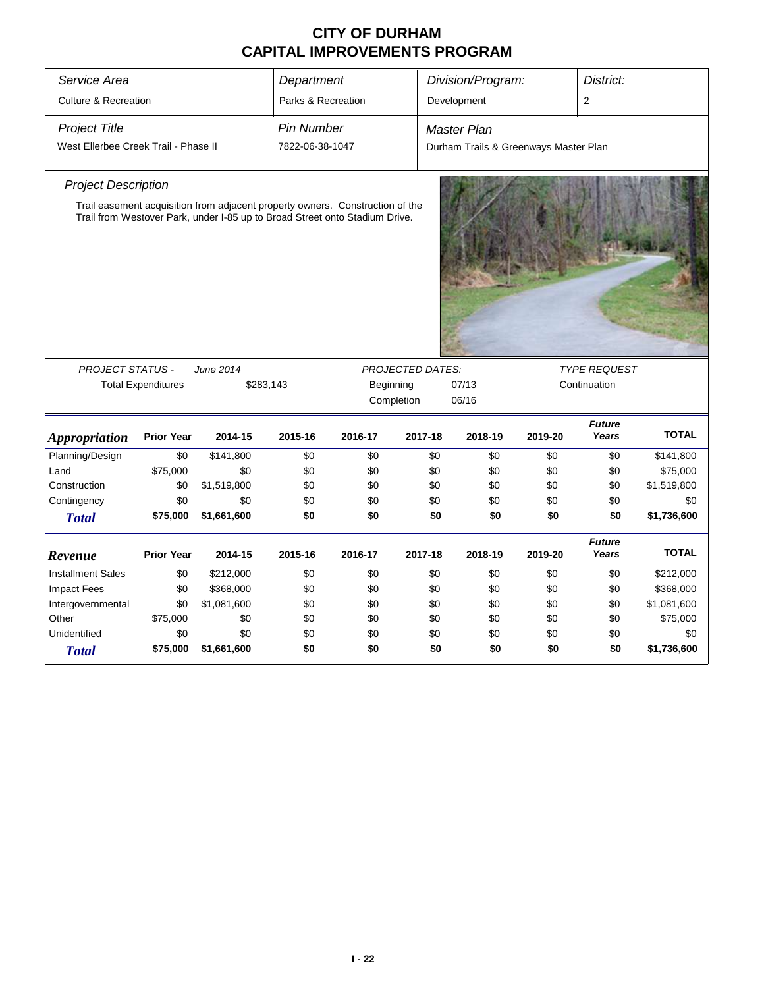| Service Area                                                 |                        |                                                                                                                                                              | Department                           |         |                | Division/Program:                                           |                                     | District:              |              |  |
|--------------------------------------------------------------|------------------------|--------------------------------------------------------------------------------------------------------------------------------------------------------------|--------------------------------------|---------|----------------|-------------------------------------------------------------|-------------------------------------|------------------------|--------------|--|
| <b>Culture &amp; Recreation</b>                              |                        |                                                                                                                                                              | Parks & Recreation                   |         |                | Development                                                 |                                     | $\overline{2}$         |              |  |
| <b>Project Title</b><br>West Ellerbee Creek Trail - Phase II |                        |                                                                                                                                                              | <b>Pin Number</b><br>7822-06-38-1047 |         |                | <b>Master Plan</b><br>Durham Trails & Greenways Master Plan |                                     |                        |              |  |
| <b>Project Description</b>                                   |                        | Trail easement acquisition from adjacent property owners. Construction of the<br>Trail from Westover Park, under I-85 up to Broad Street onto Stadium Drive. |                                      |         |                |                                                             |                                     |                        |              |  |
| <b>PROJECT STATUS -</b><br><b>Total Expenditures</b>         | June 2014<br>\$283,143 | <b>PROJECTED DATES:</b><br>Beginning<br>Completion                                                                                                           |                                      |         | 07/13<br>06/16 |                                                             | <b>TYPE REQUEST</b><br>Continuation |                        |              |  |
| <b>Appropriation</b>                                         | <b>Prior Year</b>      | 2014-15                                                                                                                                                      | 2015-16                              | 2016-17 | 2017-18        | 2018-19                                                     | 2019-20                             | <b>Future</b><br>Years | <b>TOTAL</b> |  |
| Planning/Design                                              | \$0                    | \$141,800                                                                                                                                                    | \$0                                  | \$0     | \$0            | \$0                                                         | \$0                                 | \$0                    | \$141,800    |  |
| Land                                                         | \$75,000               | \$0                                                                                                                                                          | \$0                                  | \$0     | \$0            | \$0                                                         | \$0                                 | \$0                    | \$75,000     |  |
| Construction                                                 | \$0                    | \$1,519,800                                                                                                                                                  | \$0                                  | \$0     | \$0            | \$0                                                         | \$0                                 | \$0                    | \$1,519,800  |  |
| Contingency                                                  | \$0                    | \$0                                                                                                                                                          | \$0                                  | \$0     | \$0            | \$0                                                         | \$0                                 | \$0                    | \$0          |  |
| <b>Total</b>                                                 | \$75,000               | \$1,661,600                                                                                                                                                  | \$0                                  | \$0     | \$0            | \$0                                                         | \$0                                 | \$0                    | \$1,736,600  |  |
| Revenue                                                      | <b>Prior Year</b>      | 2014-15                                                                                                                                                      | 2015-16                              | 2016-17 | 2017-18        | 2018-19                                                     | 2019-20                             | <b>Future</b><br>Years | <b>TOTAL</b> |  |
| <b>Installment Sales</b>                                     | \$0                    | \$212,000                                                                                                                                                    | \$0                                  | \$0     | \$0            | \$0                                                         | \$0                                 | \$0                    | \$212,000    |  |
| <b>Impact Fees</b>                                           | \$0                    | \$368,000                                                                                                                                                    | \$0                                  | \$0     | \$0            | \$0                                                         | \$0                                 | \$0                    | \$368,000    |  |
| Intergovernmental                                            | \$0                    | \$1,081,600                                                                                                                                                  | \$0                                  | \$0     | \$0            | \$0                                                         | \$0                                 | \$0                    | \$1,081,600  |  |
| Other                                                        | \$75,000               | \$0                                                                                                                                                          | \$0                                  | \$0     | \$0            | \$0                                                         | \$0                                 | \$0                    | \$75,000     |  |
| Unidentified                                                 | \$0                    | \$0                                                                                                                                                          | \$0                                  | \$0     | \$0            | \$0                                                         | \$0                                 | \$0                    | \$0          |  |
| <b>Total</b>                                                 | \$75,000               | \$1,661,600                                                                                                                                                  | \$0                                  | \$0     | \$0            | \$0                                                         | \$0                                 | \$0                    | \$1,736,600  |  |